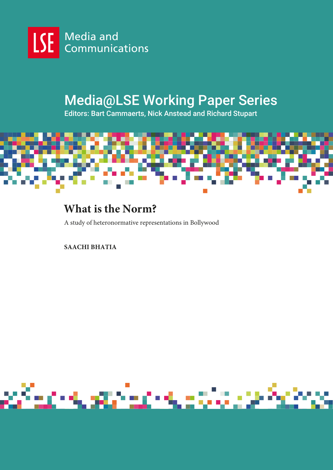

# Media@LSE Working Paper Series

Editors: Bart Cammaerts, Nick Anstead and Richard Stupart



# **What is the Norm?**

A study of heteronormative representations in Bollywood

# **SAACHI BHATIA**

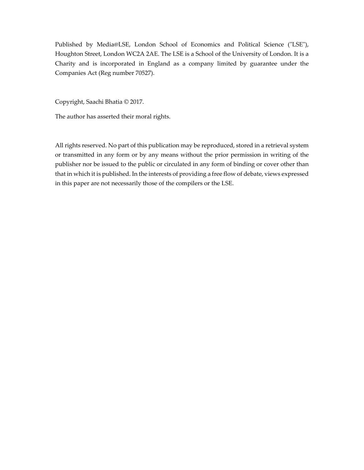Published by Media@LSE, London School of Economics and Political Science ("LSE"), Houghton Street, London WC2A 2AE. The LSE is a School of the University of London. It is a Charity and is incorporated in England as a company limited by guarantee under the Companies Act (Reg number 70527).

Copyright, Saachi Bhatia © 2017.

The author has asserted their moral rights.

All rights reserved. No part of this publication may be reproduced, stored in a retrieval system or transmitted in any form or by any means without the prior permission in writing of the publisher nor be issued to the public or circulated in any form of binding or cover other than that in which it is published. In the interests of providing a free flow of debate, views expressed in this paper are not necessarily those of the compilers or the LSE.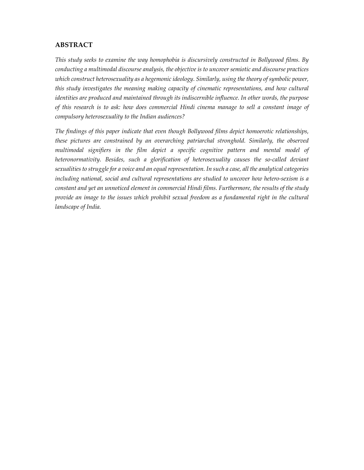### **ABSTRACT**

*This study seeks to examine the way homophobia is discursively constructed in Bollywood films. By conducting a multimodal discourse analysis, the objective is to uncover semiotic and discourse practices which construct heterosexuality as a hegemonic ideology. Similarly, using the theory of symbolic power, this study investigates the meaning making capacity of cinematic representations, and how cultural identities are produced and maintained through its indiscernible influence. In other words, the purpose of this research is to ask: how does commercial Hindi cinema manage to sell a constant image of compulsory heterosexuality to the Indian audiences?* 

*The findings of this paper indicate that even though Bollywood films depict homoerotic relationships, these pictures are constrained by an overarching patriarchal stronghold. Similarly, the observed multimodal signifiers in the film depict a specific cognitive pattern and mental model of heteronormativity. Besides, such a glorification of heterosexuality causes the so-called deviant sexualities to struggle for a voice and an equal representation. In such a case, all the analytical categories including national, social and cultural representations are studied to uncover how hetero-sexism is a constant and yet an unnoticed element in commercial Hindi films. Furthermore, the results of the study provide an image to the issues which prohibit sexual freedom as a fundamental right in the cultural landscape of India.*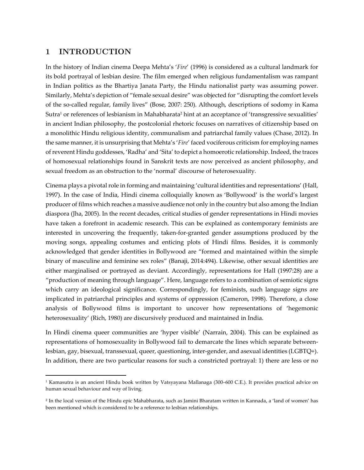## 1 INTRODUCTION

-

In the history of Indian cinema Deepa Mehta's '*Fire*' (1996) is considered as a cultural landmark for its bold portrayal of lesbian desire. The film emerged when religious fundamentalism was rampant in Indian politics as the Bhartiya Janata Party, the Hindu nationalist party was assuming power. Similarly, Mehta's depiction of "female sexual desire" was objected for "disrupting the comfort levels of the so-called regular, family lives" (Bose, 2007: 250). Although, descriptions of sodomy in Kama Sutra1 or references of lesbianism in Mahabharata2 hint at an acceptance of 'transgressive sexualities' in ancient Indian philosophy, the postcolonial rhetoric focuses on narratives of citizenship based on a monolithic Hindu religious identity, communalism and patriarchal family values (Chase, 2012). In the same manner, it is unsurprising that Mehta's '*Fire*' faced vociferous criticism for employing names of reverent Hindu goddesses, 'Radha' and 'Sita' to depict a homoerotic relationship. Indeed, the traces of homosexual relationships found in Sanskrit texts are now perceived as ancient philosophy, and sexual freedom as an obstruction to the 'normal' discourse of heterosexuality.

Cinema plays a pivotal role in forming and maintaining 'cultural identities and representations' (Hall, 1997). In the case of India, Hindi cinema colloquially known as 'Bollywood' is the world's largest producer of films which reaches a massive audience not only in the country but also among the Indian diaspora (Jha, 2005). In the recent decades, critical studies of gender representations in Hindi movies have taken a forefront in academic research. This can be explained as contemporary feminists are interested in uncovering the frequently, taken-for-granted gender assumptions produced by the moving songs, appealing costumes and enticing plots of Hindi films. Besides, it is commonly acknowledged that gender identities in Bollywood are "formed and maintained within the simple binary of masculine and feminine sex roles" (Banaji, 2014:494). Likewise, other sexual identities are either marginalised or portrayed as deviant. Accordingly, representations for Hall (1997:28) are a "production of meaning through language". Here, language refers to a combination of semiotic signs which carry an ideological significance. Correspondingly, for feminists, such language signs are implicated in patriarchal principles and systems of oppression (Cameron, 1998). Therefore, a close analysis of Bollywood films is important to uncover how representations of 'hegemonic heterosexuality' (Rich, 1980) are discursively produced and maintained in India.

In Hindi cinema queer communities are 'hyper visible' (Narrain, 2004). This can be explained as representations of homosexuality in Bollywood fail to demarcate the lines which separate betweenlesbian, gay, bisexual, transsexual, queer, questioning, inter-gender, and asexual identities (LGBTQ+). In addition, there are two particular reasons for such a constricted portrayal: 1) there are less or no

<sup>1</sup> Kamasutra is an ancient Hindu book written by Vatsyayana Mallanaga (300–600 C.E.). It provides practical advice on human sexual behaviour and way of living.

<sup>2</sup> In the local version of the Hindu epic Mahabharata, such as Jamini Bharatam written in Kannada, a 'land of women' has been mentioned which is considered to be a reference to lesbian relationships.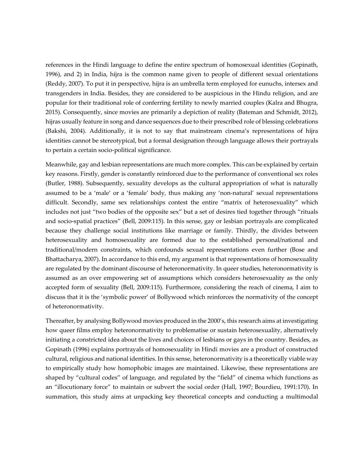references in the Hindi language to define the entire spectrum of homosexual identities (Gopinath, 1996), and 2) in India, hijra is the common name given to people of different sexual orientations (Reddy, 2007). To put it in perspective, hijra is an umbrella term employed for eunuchs, intersex and transgenders in India. Besides, they are considered to be auspicious in the Hindu religion, and are popular for their traditional role of conferring fertility to newly married couples (Kalra and Bhugra, 2015). Consequently, since movies are primarily a depiction of reality (Bateman and Schmidt, 2012), hijras usually feature in song and dance sequences due to their prescribed role of blessing celebrations (Bakshi, 2004). Additionally, it is not to say that mainstream cinema's representations of hijra identities cannot be stereotypical, but a formal designation through language allows their portrayals to pertain a certain socio-political significance.

Meanwhile, gay and lesbian representations are much more complex. This can be explained by certain key reasons. Firstly, gender is constantly reinforced due to the performance of conventional sex roles (Butler, 1988). Subsequently, sexuality develops as the cultural appropriation of what is naturally assumed to be a 'male' or a 'female' body, thus making any 'non-natural' sexual representations difficult. Secondly, same sex relationships contest the entire "matrix of heterosexuality" which includes not just "two bodies of the opposite sex" but a set of desires tied together through "rituals and socio-spatial practices" (Bell, 2009:115). In this sense, gay or lesbian portrayals are complicated because they challenge social institutions like marriage or family. Thirdly, the divides between heterosexuality and homosexuality are formed due to the established personal/national and traditional/modern constraints, which confounds sexual representations even further (Bose and Bhattacharya, 2007). In accordance to this end, my argument is that representations of homosexuality are regulated by the dominant discourse of heteronormativity. In queer studies, heteronormativity is assumed as an over empowering set of assumptions which considers heterosexuality as the only accepted form of sexuality (Bell, 2009:115). Furthermore, considering the reach of cinema, I aim to discuss that it is the 'symbolic power' of Bollywood which reinforces the normativity of the concept of heteronormativity.

Thereafter, by analysing Bollywood movies produced in the 2000's, this research aims at investigating how queer films employ heteronormativity to problematise or sustain heterosexuality, alternatively initiating a constricted idea about the lives and choices of lesbians or gays in the country. Besides, as Gopinath (1996) explains portrayals of homosexuality in Hindi movies are a product of constructed cultural, religious and national identities. In this sense, heteronormativity is a theoretically viable way to empirically study how homophobic images are maintained. Likewise, these representations are shaped by "cultural codes" of language, and regulated by the "field" of cinema which functions as an "illocutionary force" to maintain or subvert the social order (Hall, 1997; Bourdieu, 1991:170). In summation, this study aims at unpacking key theoretical concepts and conducting a multimodal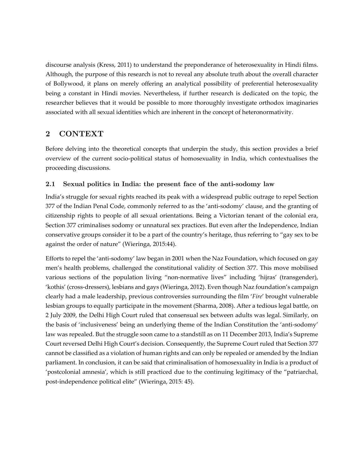discourse analysis (Kress, 2011) to understand the preponderance of heterosexuality in Hindi films. Although, the purpose of this research is not to reveal any absolute truth about the overall character of Bollywood, it plans on merely offering an analytical possibility of preferential heterosexuality being a constant in Hindi movies. Nevertheless, if further research is dedicated on the topic, the researcher believes that it would be possible to more thoroughly investigate orthodox imaginaries associated with all sexual identities which are inherent in the concept of heteronormativity.

## 2 CONTEXT

Before delving into the theoretical concepts that underpin the study, this section provides a brief overview of the current socio-political status of homosexuality in India, which contextualises the proceeding discussions.

## 2.1 Sexual politics in India: the present face of the anti-sodomy law

India's struggle for sexual rights reached its peak with a widespread public outrage to repel Section 377 of the Indian Penal Code, commonly referred to as the 'anti-sodomy' clause, and the granting of citizenship rights to people of all sexual orientations. Being a Victorian tenant of the colonial era, Section 377 criminalises sodomy or unnatural sex practices. But even after the Independence, Indian conservative groups consider it to be a part of the country's heritage, thus referring to "gay sex to be against the order of nature" (Wieringa, 2015:44).

Efforts to repel the 'anti-sodomy' law began in 2001 when the Naz Foundation, which focused on gay men's health problems, challenged the constitutional validity of Section 377. This move mobilised various sections of the population living "non-normative lives" including 'hijras' (transgender), 'kothis' (cross-dressers), lesbians and gays (Wieringa, 2012). Even though Naz foundation's campaign clearly had a male leadership, previous controversies surrounding the film '*Fire*' brought vulnerable lesbian groups to equally participate in the movement (Sharma, 2008). After a tedious legal battle, on 2 July 2009, the Delhi High Court ruled that consensual sex between adults was legal. Similarly, on the basis of 'inclusiveness' being an underlying theme of the Indian Constitution the 'anti-sodomy' law was repealed. But the struggle soon came to a standstill as on 11 December 2013, India's Supreme Court reversed Delhi High Court's decision. Consequently, the Supreme Court ruled that Section 377 cannot be classified as a violation of human rights and can only be repealed or amended by the Indian parliament. In conclusion, it can be said that criminalisation of homosexuality in India is a product of 'postcolonial amnesia', which is still practiced due to the continuing legitimacy of the "patriarchal, post-independence political elite" (Wieringa, 2015: 45).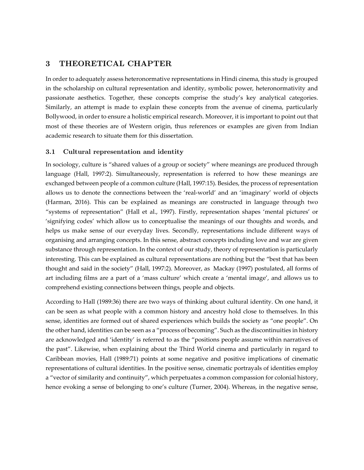## 3 THEORETICAL CHAPTER

In order to adequately assess heteronormative representations in Hindi cinema, this study is grouped in the scholarship on cultural representation and identity, symbolic power, heteronormativity and passionate aesthetics. Together, these concepts comprise the study's key analytical categories. Similarly, an attempt is made to explain these concepts from the avenue of cinema, particularly Bollywood, in order to ensure a holistic empirical research. Moreover, it is important to point out that most of these theories are of Western origin, thus references or examples are given from Indian academic research to situate them for this dissertation.

#### 3.1 Cultural representation and identity

In sociology, culture is "shared values of a group or society" where meanings are produced through language (Hall, 1997:2). Simultaneously, representation is referred to how these meanings are exchanged between people of a common culture (Hall, 1997:15). Besides, the process of representation allows us to denote the connections between the 'real-world' and an 'imaginary' world of objects (Harman, 2016). This can be explained as meanings are constructed in language through two "systems of representation" (Hall et al., 1997). Firstly, representation shapes 'mental pictures' or 'signifying codes' which allow us to conceptualise the meanings of our thoughts and words, and helps us make sense of our everyday lives. Secondly, representations include different ways of organising and arranging concepts. In this sense, abstract concepts including love and war are given substance through representation. In the context of our study, theory of representation is particularly interesting. This can be explained as cultural representations are nothing but the "best that has been thought and said in the society" (Hall, 1997:2). Moreover, as Mackay (1997) postulated, all forms of art including films are a part of a 'mass culture' which create a 'mental image', and allows us to comprehend existing connections between things, people and objects.

According to Hall (1989:36) there are two ways of thinking about cultural identity. On one hand, it can be seen as what people with a common history and ancestry hold close to themselves. In this sense, identities are formed out of shared experiences which builds the society as "one people". On the other hand, identities can be seen as a "process of becoming". Such as the discontinuities in history are acknowledged and 'identity' is referred to as the "positions people assume within narratives of the past". Likewise, when explaining about the Third World cinema and particularly in regard to Caribbean movies, Hall (1989:71) points at some negative and positive implications of cinematic representations of cultural identities. In the positive sense, cinematic portrayals of identities employ a "vector of similarity and continuity", which perpetuates a common compassion for colonial history, hence evoking a sense of belonging to one's culture (Turner, 2004). Whereas, in the negative sense,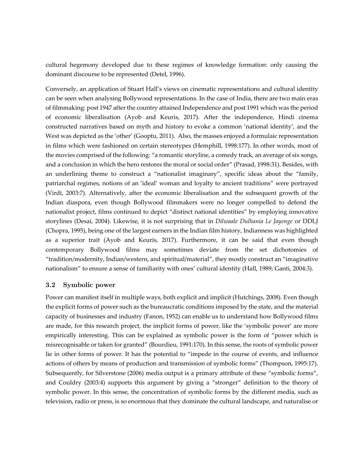cultural hegemony developed due to these regimes of knowledge formation: only causing the dominant discourse to be represented (Detel, 1996).

Conversely, an application of Stuart Hall's views on cinematic representations and cultural identity can be seen when analysing Bollywood representations. In the case of India, there are two main eras of filmmaking: post 1947 after the country attained Independence and post 1991 which was the period of economic liberalisation (Ayob and Keuris, 2017). After the independence, Hindi cinema constructed narratives based on myth and history to evoke a common 'national identity', and the West was depicted as the 'other' (Gooptu, 2011). Also, the masses enjoyed a formulaic representation in films which were fashioned on certain stereotypes (Hemphill, 1998:177). In other words, most of the movies comprised of the following: "a romantic storyline, a comedy track, an average of six songs, and a conclusion in which the hero restores the moral or social order" (Prasad, 1998:31). Besides, with an underlining theme to construct a "nationalist imaginary", specific ideas about the "family, patriarchal regimes, notions of an 'ideal' woman and loyalty to ancient traditions" were portrayed (Virdi, 2003:7). Alternatively, after the economic liberalisation and the subsequent growth of the Indian diaspora, even though Bollywood filmmakers were no longer compelled to defend the nationalist project, films continued to depict "distinct national identities" by employing innovative storylines (Desai, 2004). Likewise, it is not surprising that in *Dilwaale Dulhania Le Jayenge* or DDLJ (Chopra, 1995), being one of the largest earners in the Indian film history, Indianness was highlighted as a superior trait (Ayob and Keuris, 2017). Furthermore, it can be said that even though contemporary Bollywood films may sometimes deviate from the set dichotomies of "tradition/modernity, Indian/western, and spiritual/material", they mostly construct an "imaginative nationalism" to ensure a sense of familiarity with ones' cultural identity (Hall, 1989; Ganti, 2004:3).

#### 3.2 Symbolic power

Power can manifest itself in multiple ways, both explicit and implicit (Hutchings, 2008). Even though the explicit forms of power such as the bureaucratic conditions imposed by the state, and the material capacity of businesses and industry (Fanon, 1952) can enable us to understand how Bollywood films are made, for this research project, the implicit forms of power, like the 'symbolic power' are more empirically interesting. This can be explained as symbolic power is the form of "power which is misrecognisable or taken for granted" (Bourdieu, 1991:170). In this sense, the roots of symbolic power lie in other forms of power. It has the potential to "impede in the course of events, and influence actions of others by means of production and transmission of symbolic forms" (Thompson, 1995:17). Subsequently, for Silverstone (2006) media output is a primary attribute of these "symbolic forms", and Couldry (2003:4) supports this argument by giving a "stronger" definition to the theory of symbolic power. In this sense, the concentration of symbolic forms by the different media, such as television, radio or press, is so enormous that they dominate the cultural landscape, and naturalise or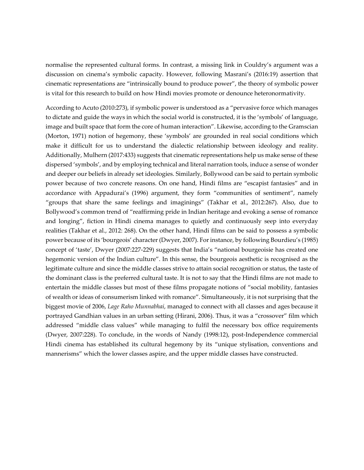normalise the represented cultural forms. In contrast, a missing link in Couldry's argument was a discussion on cinema's symbolic capacity. However, following Masrani's (2016:19) assertion that cinematic representations are "intrinsically bound to produce power", the theory of symbolic power is vital for this research to build on how Hindi movies promote or denounce heteronormativity.

According to Acuto (2010:273), if symbolic power is understood as a "pervasive force which manages to dictate and guide the ways in which the social world is constructed, it is the 'symbols' of language, image and built space that form the core of human interaction". Likewise, according to the Gramscian (Morton, 1971) notion of hegemony, these 'symbols' are grounded in real social conditions which make it difficult for us to understand the dialectic relationship between ideology and reality. Additionally, Mulhern (2017:433) suggests that cinematic representations help us make sense of these dispersed 'symbols', and by employing technical and literal narration tools, induce a sense of wonder and deeper our beliefs in already set ideologies. Similarly, Bollywood can be said to pertain symbolic power because of two concrete reasons. On one hand, Hindi films are "escapist fantasies" and in accordance with Appadurai's (1996) argument, they form "communities of sentiment", namely "groups that share the same feelings and imaginings" (Takhar et al., 2012:267). Also, due to Bollywood's common trend of "reaffirming pride in Indian heritage and evoking a sense of romance and longing", fiction in Hindi cinema manages to quietly and continuously seep into everyday realities (Takhar et al., 2012: 268). On the other hand, Hindi films can be said to possess a symbolic power because of its 'bourgeois' character (Dwyer, 2007). For instance, by following Bourdieu's (1985) concept of 'taste', Dwyer (2007:227-229) suggests that India's "national bourgeoisie has created one hegemonic version of the Indian culture". In this sense, the bourgeois aesthetic is recognised as the legitimate culture and since the middle classes strive to attain social recognition or status, the taste of the dominant class is the preferred cultural taste. It is not to say that the Hindi films are not made to entertain the middle classes but most of these films propagate notions of "social mobility, fantasies of wealth or ideas of consumerism linked with romance". Simultaneously, it is not surprising that the biggest movie of 2006, *Lage Raho Munnabhai*, managed to connect with all classes and ages because it portrayed Gandhian values in an urban setting (Hirani, 2006). Thus, it was a "crossover" film which addressed "middle class values" while managing to fulfil the necessary box office requirements (Dwyer, 2007:228). To conclude, in the words of Nandy (1998:12), post-Independence commercial Hindi cinema has established its cultural hegemony by its "unique stylisation, conventions and mannerisms" which the lower classes aspire, and the upper middle classes have constructed.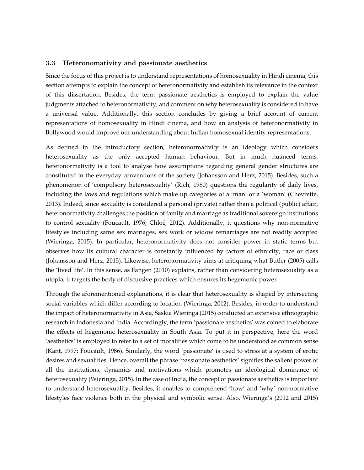#### 3.3 Heteronomativity and passionate aesthetics

Since the focus of this project is to understand representations of homosexuality in Hindi cinema, this section attempts to explain the concept of heteronormativity and establish its relevance in the context of this dissertation. Besides, the term passionate aesthetics is employed to explain the value judgments attached to heteronormativity, and comment on why heterosexuality is considered to have a universal value. Additionally, this section concludes by giving a brief account of current representations of homosexuality in Hindi cinema, and how an analysis of heteronormativity in Bollywood would improve our understanding about Indian homosexual identity representations.

As defined in the introductory section, heteronormativity is an ideology which considers heterosexuality as the only accepted human behaviour. But in much nuanced terms, heteronormativity is a tool to analyse how assumptions regarding general gender structures are constituted in the everyday conventions of the society (Johansson and Herz, 2015). Besides, such a phenomenon of 'compulsory heterosexuality' (Rich, 1980) questions the regularity of daily lives, including the laws and regulations which make up categories of a 'man' or a 'woman' (Chevrette, 2013). Indeed, since sexuality is considered a personal (private) rather than a political (public) affair, heteronormativity challenges the position of family and marriage as traditional sovereign institutions to control sexuality (Foucault, 1976; Chloë, 2012). Additionally, it questions why non-normative lifestyles including same sex marriages, sex work or widow remarriages are not readily accepted (Wieringa, 2015). In particular, heteronormativity does not consider power in static terms but observes how its cultural character is constantly influenced by factors of ethnicity, race or class (Johansson and Herz, 2015). Likewise, heteronormativity aims at critiquing what Butler (2005) calls the 'lived life'. In this sense, as Fangen (2010) explains, rather than considering heterosexuality as a utopia, it targets the body of discursive practices which ensures its hegemonic power.

Through the aforementioned explanations, it is clear that heterosexuality is shaped by intersecting social variables which differ according to location (Wieringa, 2012). Besides, in order to understand the impact of heteronormativity in Asia, Saskia Wieringa (2015) conducted an extensive ethnographic research in Indonesia and India. Accordingly, the term 'passionate aesthetics' was coined to elaborate the effects of hegemonic heterosexuality in South Asia. To put it in perspective, here the word 'aesthetics' is employed to refer to a set of moralities which come to be understood as common sense (Kant, 1997; Foucault, 1986). Similarly, the word 'passionate' is used to stress at a system of erotic desires and sexualities. Hence, overall the phrase 'passionate aesthetics' signifies the salient power of all the institutions, dynamics and motivations which promotes an ideological dominance of heterosexuality (Wieringa, 2015). In the case of India, the concept of passionate aesthetics is important to understand heterosexuality. Besides, it enables to comprehend 'how' and 'why' non-normative lifestyles face violence both in the physical and symbolic sense. Also, Wieringa's (2012 and 2015)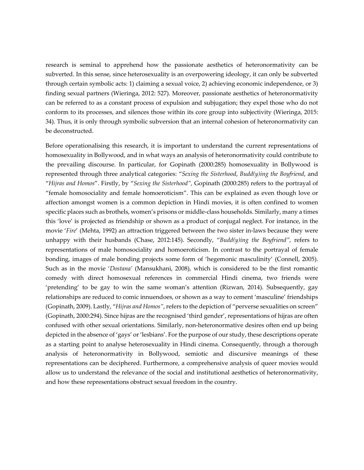research is seminal to apprehend how the passionate aesthetics of heteronormativity can be subverted. In this sense, since heterosexuality is an overpowering ideology, it can only be subverted through certain symbolic acts: 1) claiming a sexual voice, 2) achieving economic independence, or 3) finding sexual partners (Wieringa, 2012: 527). Moreover, passionate aesthetics of heteronormativity can be referred to as a constant process of expulsion and subjugation; they expel those who do not conform to its processes, and silences those within its core group into subjectivity (Wieringa, 2015: 34). Thus, it is only through symbolic subversion that an internal cohesion of heteronormativity can be deconstructed.

Before operationalising this research, it is important to understand the current representations of homosexuality in Bollywood, and in what ways an analysis of heteronormativity could contribute to the prevailing discourse. In particular, for Gopinath (2000:285) homosexuality in Bollywood is represented through three analytical categories: "*Sexing the Sisterhood*, *Budd(y)ing the Boyfriend*, and "*Hijras and Homos*". Firstly, by "*Sexing the Sisterhood",* Gopinath (2000:285) refers to the portrayal of "female homosociality and female homoeroticism". This can be explained as even though love or affection amongst women is a common depiction in Hindi movies, it is often confined to women specific places such as brothels, women's prisons or middle-class households. Similarly, many a times this 'love' is projected as friendship or shown as a product of conjugal neglect. For instance, in the movie '*Fire*' (Mehta, 1992) an attraction triggered between the two sister in-laws because they were unhappy with their husbands (Chase, 2012:145). Secondly, "*Budd(y)ing the Boyfriend",* refers to representations of male homosociality and homoeroticism. In contrast to the portrayal of female bonding, images of male bonding projects some form of 'hegemonic masculinity' (Connell, 2005). Such as in the movie '*Dostana'* (Mansukhani, 2008), which is considered to be the first romantic comedy with direct homosexual references in commercial Hindi cinema, two friends were 'pretending' to be gay to win the same woman's attention (Rizwan, 2014). Subsequently, gay relationships are reduced to comic innuendoes, or shown as a way to cement 'masculine' friendships (Gopinath, 2009). Lastly, "*Hijras and Homos"*, refers to the depiction of "perverse sexualities on screen" (Gopinath, 2000:294). Since hijras are the recognised 'third gender', representations of hijras are often confused with other sexual orientations. Similarly, non-heteronormative desires often end up being depicted in the absence of 'gays' or 'lesbians'. For the purpose of our study, these descriptions operate as a starting point to analyse heterosexuality in Hindi cinema. Consequently, through a thorough analysis of heteronormativity in Bollywood, semiotic and discursive meanings of these representations can be deciphered. Furthermore, a comprehensive analysis of queer movies would allow us to understand the relevance of the social and institutional aesthetics of heteronormativity, and how these representations obstruct sexual freedom in the country.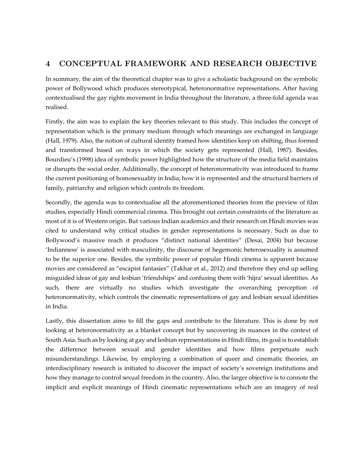# 4 CONCEPTUAL FRAMEWORK AND RESEARCH OBJECTIVE

In summary, the aim of the theoretical chapter was to give a scholastic background on the symbolic power of Bollywood which produces stereotypical, heteronormative representations. After having contextualised the gay rights movement in India throughout the literature, a three-fold agenda was realised.

Firstly, the aim was to explain the key theories relevant to this study. This includes the concept of representation which is the primary medium through which meanings are exchanged in language (Hall, 1979). Also, the notion of cultural identity framed how identities keep on shifting, thus formed and transformed based on ways in which the society gets represented (Hall, 1987). Besides, Bourdieu's (1998) idea of symbolic power highlighted how the structure of the media field maintains or disrupts the social order. Additionally, the concept of heteronormativity was introduced to frame the current positioning of homosexuality in India; how it is represented and the structural barriers of family, patriarchy and religion which controls its freedom.

Secondly, the agenda was to contextualise all the aforementioned theories from the preview of film studies, especially Hindi commercial cinema. This brought out certain constraints of the literature as most of it is of Western origin. But various Indian academics and their research on Hindi movies was cited to understand why critical studies in gender representations is necessary. Such as due to Bollywood's massive reach it produces "distinct national identities" (Desai, 2004) but because 'Indianness' is associated with masculinity, the discourse of hegemonic heterosexuality is assumed to be the superior one. Besides, the symbolic power of popular Hindi cinema is apparent because movies are considered as "escapist fantasies" (Takhar et al., 2012) and therefore they end up selling misguided ideas of gay and lesbian 'friendships' and confusing them with 'hijra' sexual identities. As such, there are virtually no studies which investigate the overarching perception of heteronormativity, which controls the cinematic representations of gay and lesbian sexual identities in India.

Lastly, this dissertation aims to fill the gaps and contribute to the literature. This is done by not looking at heteronormativity as a blanket concept but by uncovering its nuances in the context of South Asia. Such as by looking at gay and lesbian representations in Hindi films, its goal is to establish the difference between sexual and gender identities and how films perpetuate such misunderstandings. Likewise, by employing a combination of queer and cinematic theories, an interdisciplinary research is initiated to discover the impact of society's sovereign institutions and how they manage to control sexual freedom in the country. Also, the larger objective is to connote the implicit and explicit meanings of Hindi cinematic representations which are an imagery of real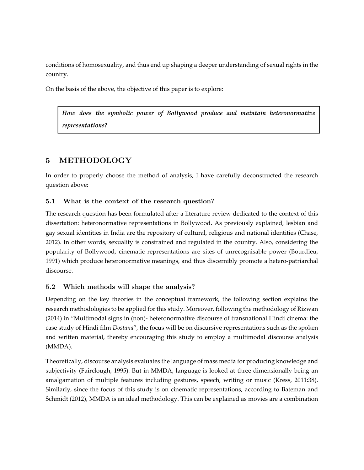conditions of homosexuality, and thus end up shaping a deeper understanding of sexual rights in the country.

On the basis of the above, the objective of this paper is to explore:

*How does the symbolic power of Bollywood produce and maintain heteronormative representations?*

# 5 METHODOLOGY

In order to properly choose the method of analysis, I have carefully deconstructed the research question above:

## 5.1 What is the context of the research question?

The research question has been formulated after a literature review dedicated to the context of this dissertation: heteronormative representations in Bollywood. As previously explained, lesbian and gay sexual identities in India are the repository of cultural, religious and national identities (Chase, 2012). In other words, sexuality is constrained and regulated in the country. Also, considering the popularity of Bollywood, cinematic representations are sites of unrecognisable power (Bourdieu, 1991) which produce heteronormative meanings, and thus discernibly promote a hetero-patriarchal discourse.

## 5.2 Which methods will shape the analysis?

Depending on the key theories in the conceptual framework, the following section explains the research methodologies to be applied for this study. Moreover, following the methodology of Rizwan (2014) in "Multimodal signs in (non)- heteronormative discourse of transnational Hindi cinema: the case study of Hindi film *Dostana*", the focus will be on discursive representations such as the spoken and written material, thereby encouraging this study to employ a multimodal discourse analysis (MMDA).

Theoretically, discourse analysis evaluates the language of mass media for producing knowledge and subjectivity (Fairclough, 1995). But in MMDA, language is looked at three-dimensionally being an amalgamation of multiple features including gestures, speech, writing or music (Kress, 2011:38). Similarly, since the focus of this study is on cinematic representations, according to Bateman and Schmidt (2012), MMDA is an ideal methodology. This can be explained as movies are a combination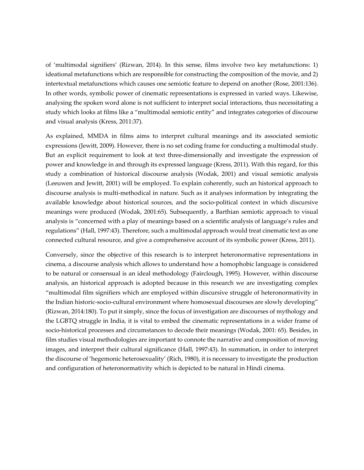of 'multimodal signifiers' (Rizwan, 2014). In this sense, films involve two key metafunctions: 1) ideational metafunctions which are responsible for constructing the composition of the movie, and 2) intertextual metafunctions which causes one semiotic feature to depend on another (Rose, 2001:136). In other words, symbolic power of cinematic representations is expressed in varied ways. Likewise, analysing the spoken word alone is not sufficient to interpret social interactions, thus necessitating a study which looks at films like a "multimodal semiotic entity" and integrates categories of discourse and visual analysis (Kress, 2011:37).

As explained, MMDA in films aims to interpret cultural meanings and its associated semiotic expressions (Jewitt, 2009). However, there is no set coding frame for conducting a multimodal study. But an explicit requirement to look at text three-dimensionally and investigate the expression of power and knowledge in and through its expressed language (Kress, 2011). With this regard, for this study a combination of historical discourse analysis (Wodak, 2001) and visual semiotic analysis (Leeuwen and Jewitt, 2001) will be employed. To explain coherently, such an historical approach to discourse analysis is multi-methodical in nature. Such as it analyses information by integrating the available knowledge about historical sources, and the socio-political context in which discursive meanings were produced (Wodak, 2001:65). Subsequently, a Barthian semiotic approach to visual analysis is "concerned with a play of meanings based on a scientific analysis of language's rules and regulations" (Hall, 1997:43). Therefore, such a multimodal approach would treat cinematic text as one connected cultural resource, and give a comprehensive account of its symbolic power (Kress, 2011).

Conversely, since the objective of this research is to interpret heteronormative representations in cinema, a discourse analysis which allows to understand how a homophobic language is considered to be natural or consensual is an ideal methodology (Fairclough, 1995). However, within discourse analysis, an historical approach is adopted because in this research we are investigating complex "multimodal film signifiers which are employed within discursive struggle of heteronormativity in the Indian historic-socio-cultural environment where homosexual discourses are slowly developing" (Rizwan, 2014:180). To put it simply, since the focus of investigation are discourses of mythology and the LGBTQ struggle in India, it is vital to embed the cinematic representations in a wider frame of socio-historical processes and circumstances to decode their meanings (Wodak, 2001: 65). Besides, in film studies visual methodologies are important to connote the narrative and composition of moving images, and interpret their cultural significance (Hall, 1997:43). In summation, in order to interpret the discourse of 'hegemonic heterosexuality' (Rich, 1980), it is necessary to investigate the production and configuration of heteronormativity which is depicted to be natural in Hindi cinema.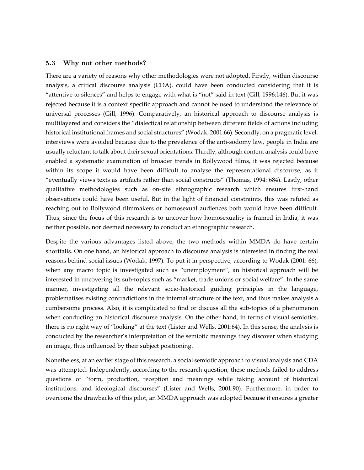#### 5.3 Why not other methods?

There are a variety of reasons why other methodologies were not adopted. Firstly, within discourse analysis, a critical discourse analysis (CDA), could have been conducted considering that it is "attentive to silences" and helps to engage with what is "not" said in text (Gill, 1996:146). But it was rejected because it is a context specific approach and cannot be used to understand the relevance of universal processes (Gill, 1996). Comparatively, an historical approach to discourse analysis is multilayered and considers the "dialectical relationship between different fields of actions including historical institutional frames and social structures" (Wodak, 2001:66). Secondly, on a pragmatic level, interviews were avoided because due to the prevalence of the anti-sodomy law, people in India are usually reluctant to talk about their sexual orientations. Thirdly, although content analysis could have enabled a systematic examination of broader trends in Bollywood films, it was rejected because within its scope it would have been difficult to analyse the representational discourse, as it "eventually views texts as artifacts rather than social constructs" (Thomas, 1994: 684). Lastly, other qualitative methodologies such as on-site ethnographic research which ensures first-hand observations could have been useful. But in the light of financial constraints, this was refuted as reaching out to Bollywood filmmakers or homosexual audiences both would have been difficult. Thus, since the focus of this research is to uncover how homosexuality is framed in India, it was neither possible, nor deemed necessary to conduct an ethnographic research.

Despite the various advantages listed above, the two methods within MMDA do have certain shortfalls. On one hand, an historical approach to discourse analysis is interested in finding the real reasons behind social issues (Wodak, 1997). To put it in perspective, according to Wodak (2001: 66), when any macro topic is investigated such as "unemployment", an historical approach will be interested in uncovering its sub-topics such as "market, trade unions or social welfare". In the same manner, investigating all the relevant socio-historical guiding principles in the language, problematises existing contradictions in the internal structure of the text, and thus makes analysis a cumbersome process. Also, it is complicated to find or discuss all the sub-topics of a phenomenon when conducting an historical discourse analysis. On the other hand, in terms of visual semiotics, there is no right way of "looking" at the text (Lister and Wells, 2001:64). In this sense, the analysis is conducted by the researcher's interpretation of the semiotic meanings they discover when studying an image, thus influenced by their subject positioning.

Nonetheless, at an earlier stage of this research, a social semiotic approach to visual analysis and CDA was attempted. Independently, according to the research question, these methods failed to address questions of "form, production, reception and meanings while taking account of historical institutions, and ideological discourses" (Lister and Wells, 2001:90). Furthermore, in order to overcome the drawbacks of this pilot, an MMDA approach was adopted because it ensures a greater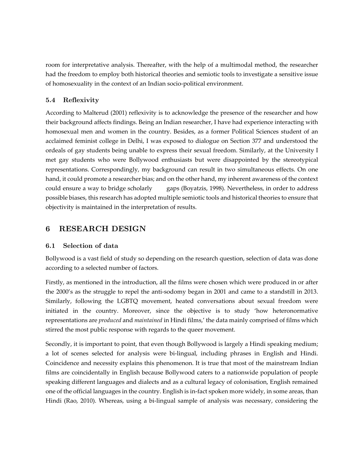room for interpretative analysis. Thereafter, with the help of a multimodal method, the researcher had the freedom to employ both historical theories and semiotic tools to investigate a sensitive issue of homosexuality in the context of an Indian socio-political environment.

## 5.4 Reflexivity

According to Malterud (2001) reflexivity is to acknowledge the presence of the researcher and how their background affects findings. Being an Indian researcher, I have had experience interacting with homosexual men and women in the country. Besides, as a former Political Sciences student of an acclaimed feminist college in Delhi, I was exposed to dialogue on Section 377 and understood the ordeals of gay students being unable to express their sexual freedom. Similarly, at the University I met gay students who were Bollywood enthusiasts but were disappointed by the stereotypical representations. Correspondingly, my background can result in two simultaneous effects. On one hand, it could promote a researcher bias; and on the other hand, my inherent awareness of the context could ensure a way to bridge scholarly gaps (Boyatzis, 1998). Nevertheless, in order to address possible biases, this research has adopted multiple semiotic tools and historical theories to ensure that objectivity is maintained in the interpretation of results.

# 6 RESEARCH DESIGN

## 6.1 Selection of data

Bollywood is a vast field of study so depending on the research question, selection of data was done according to a selected number of factors.

Firstly, as mentioned in the introduction, all the films were chosen which were produced in or after the 2000's as the struggle to repel the anti-sodomy began in 2001 and came to a standstill in 2013. Similarly, following the LGBTQ movement, heated conversations about sexual freedom were initiated in the country. Moreover, since the objective is to study 'how heteronormative representations are *produced* and *maintained* in Hindi films,' the data mainly comprised of films which stirred the most public response with regards to the queer movement.

Secondly, it is important to point, that even though Bollywood is largely a Hindi speaking medium; a lot of scenes selected for analysis were bi-lingual, including phrases in English and Hindi. Coincidence and necessity explains this phenomenon. It is true that most of the mainstream Indian films are coincidentally in English because Bollywood caters to a nationwide population of people speaking different languages and dialects and as a cultural legacy of colonisation, English remained one of the official languages in the country. English is in-fact spoken more widely, in some areas, than Hindi (Rao, 2010). Whereas, using a bi-lingual sample of analysis was necessary, considering the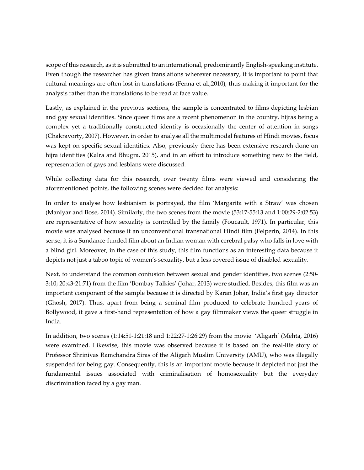scope of this research, as it is submitted to an international, predominantly English-speaking institute. Even though the researcher has given translations wherever necessary, it is important to point that cultural meanings are often lost in translations (Fenna et al.,2010), thus making it important for the analysis rather than the translations to be read at face value.

Lastly, as explained in the previous sections, the sample is concentrated to films depicting lesbian and gay sexual identities. Since queer films are a recent phenomenon in the country, hijras being a complex yet a traditionally constructed identity is occasionally the center of attention in songs (Chakravorty, 2007). However, in order to analyse all the multimodal features of Hindi movies, focus was kept on specific sexual identities. Also, previously there has been extensive research done on hijra identities (Kalra and Bhugra, 2015), and in an effort to introduce something new to the field, representation of gays and lesbians were discussed.

While collecting data for this research, over twenty films were viewed and considering the aforementioned points, the following scenes were decided for analysis:

In order to analyse how lesbianism is portrayed, the film 'Margarita with a Straw' was chosen (Maniyar and Bose, 2014). Similarly, the two scenes from the movie (53:17-55:13 and 1:00:29-2:02:53) are representative of how sexuality is controlled by the family (Foucault, 1971). In particular, this movie was analysed because it an unconventional transnational Hindi film (Felperin, 2014). In this sense, it is a Sundance-funded film about an Indian woman with cerebral palsy who falls in love with a blind girl. Moreover, in the case of this study, this film functions as an interesting data because it depicts not just a taboo topic of women's sexuality, but a less covered issue of disabled sexuality.

Next, to understand the common confusion between sexual and gender identities, two scenes (2:50- 3:10; 20:43-21:71) from the film 'Bombay Talkies' (Johar, 2013) were studied. Besides, this film was an important component of the sample because it is directed by Karan Johar, India's first gay director (Ghosh, 2017). Thus, apart from being a seminal film produced to celebrate hundred years of Bollywood, it gave a first-hand representation of how a gay filmmaker views the queer struggle in India.

In addition, two scenes (1:14:51-1:21:18 and 1:22:27-1:26:29) from the movie 'Aligarh' (Mehta, 2016) were examined. Likewise, this movie was observed because it is based on the real-life story of Professor Shrinivas Ramchandra Siras of the Aligarh Muslim University (AMU), who was illegally suspended for being gay. Consequently, this is an important movie because it depicted not just the fundamental issues associated with criminalisation of homosexuality but the everyday discrimination faced by a gay man.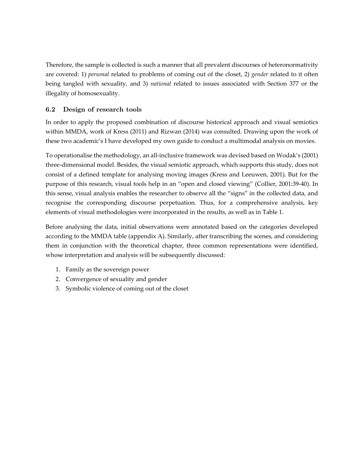Therefore, the sample is collected is such a manner that all prevalent discourses of heteronormativity are covered: 1) *personal* related to problems of coming out of the closet, 2) *gender* related to it often being tangled with sexuality, and 3) *national* related to issues associated with Section 377 or the illegality of homosexuality.

## 6.2 Design of research tools

In order to apply the proposed combination of discourse historical approach and visual semiotics within MMDA, work of Kress (2011) and Rizwan (2014) was consulted. Drawing upon the work of these two academic's I have developed my own guide to conduct a multimodal analysis on movies.

To operationalise the methodology, an all-inclusive framework was devised based on Wodak's (2001) three-dimensional model. Besides, the visual semiotic approach, which supports this study, does not consist of a defined template for analysing moving images (Kress and Leeuwen, 2001). But for the purpose of this research, visual tools help in an "open and closed viewing" (Collier, 2001:39-40). In this sense, visual analysis enables the researcher to observe all the "signs" in the collected data, and recognise the corresponding discourse perpetuation. Thus, for a comprehensive analysis, key elements of visual methodologies were incorporated in the results, as well as in Table 1.

Before analysing the data, initial observations were annotated based on the categories developed according to the MMDA table (appendix A). Similarly, after transcribing the scenes, and considering them in conjunction with the theoretical chapter, three common representations were identified, whose interpretation and analysis will be subsequently discussed:

- 1. Family as the sovereign power
- 2. Convergence of sexuality and gender
- 3. Symbolic violence of coming out of the closet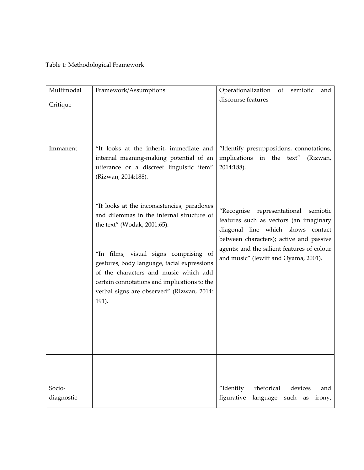## Table 1: Methodological Framework

| Multimodal<br>Critique | Framework/Assumptions                                                                                                                                                                                                                                                                                                                                          | Operationalization<br>of<br>semiotic<br>and<br>discourse features                                                                                                                                                                                          |
|------------------------|----------------------------------------------------------------------------------------------------------------------------------------------------------------------------------------------------------------------------------------------------------------------------------------------------------------------------------------------------------------|------------------------------------------------------------------------------------------------------------------------------------------------------------------------------------------------------------------------------------------------------------|
| Immanent               | "It looks at the inherit, immediate and<br>internal meaning-making potential of an<br>utterance or a discreet linguistic item"<br>(Rizwan, 2014:188).                                                                                                                                                                                                          | "Identify presuppositions, connotations,<br>implications in the text"<br>(Rizwan,<br>2014:188).                                                                                                                                                            |
|                        | "It looks at the inconsistencies, paradoxes<br>and dilemmas in the internal structure of<br>the text" (Wodak, 2001:65).<br>"In films, visual signs comprising of<br>gestures, body language, facial expressions<br>of the characters and music which add<br>certain connotations and implications to the<br>verbal signs are observed" (Rizwan, 2014:<br>191). | "Recognise<br>representational<br>semiotic<br>features such as vectors (an imaginary<br>diagonal line which shows contact<br>between characters); active and passive<br>agents; and the salient features of colour<br>and music" (Jewitt and Oyama, 2001). |
| Socio-<br>diagnostic   |                                                                                                                                                                                                                                                                                                                                                                | "Identify<br>rhetorical<br>devices<br>and<br>figurative<br>language<br>such as<br>irony,                                                                                                                                                                   |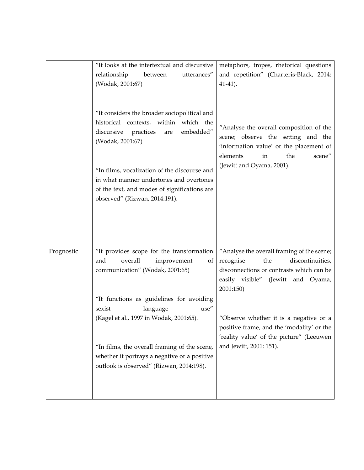|            | "It looks at the intertextual and discursive<br>relationship<br>utterances"<br>between<br>(Wodak, 2001:67)                                                                                                                                                                                                                                                                                     | metaphors, tropes, rhetorical questions<br>and repetition" (Charteris-Black, 2014:<br>$41-41$ ).                                                                                                                                                                                                                                                |
|------------|------------------------------------------------------------------------------------------------------------------------------------------------------------------------------------------------------------------------------------------------------------------------------------------------------------------------------------------------------------------------------------------------|-------------------------------------------------------------------------------------------------------------------------------------------------------------------------------------------------------------------------------------------------------------------------------------------------------------------------------------------------|
|            | "It considers the broader sociopolitical and<br>historical contexts, within which the<br>embedded"<br>discursive<br>practices<br>are<br>(Wodak, 2001:67)                                                                                                                                                                                                                                       | "Analyse the overall composition of the<br>scene; observe the setting and the<br>'information value' or the placement of<br>elements<br>the<br>scene"<br>in                                                                                                                                                                                     |
|            | "In films, vocalization of the discourse and<br>in what manner undertones and overtones<br>of the text, and modes of significations are<br>observed" (Rizwan, 2014:191).                                                                                                                                                                                                                       | (Jewitt and Oyama, 2001).                                                                                                                                                                                                                                                                                                                       |
| Prognostic | "It provides scope for the transformation<br>and<br>overall<br>improvement<br>οf<br>communication" (Wodak, 2001:65)<br>"It functions as guidelines for avoiding<br>$\text{use}''$<br>sexist<br>language<br>(Kagel et al., 1997 in Wodak, 2001:65).<br>"In films, the overall framing of the scene,<br>whether it portrays a negative or a positive<br>outlook is observed" (Rizwan, 2014:198). | "Analyse the overall framing of the scene;<br>recognise<br>the<br>discontinuities,<br>disconnections or contrasts which can be<br>easily visible" (Jewitt and Oyama,<br>2001:150)<br>"Observe whether it is a negative or a<br>positive frame, and the 'modality' or the<br>'reality value' of the picture" (Leeuwen<br>and Jewitt, 2001: 151). |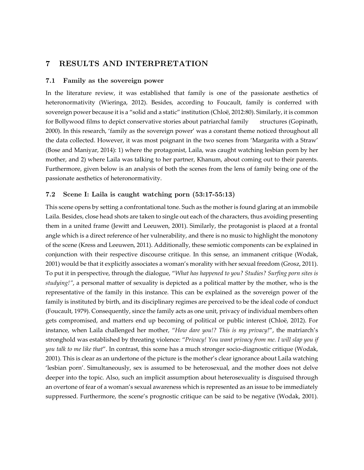## 7 RESULTS AND INTERPRETATION

#### 7.1 Family as the sovereign power

In the literature review, it was established that family is one of the passionate aesthetics of heteronormativity (Wieringa, 2012). Besides, according to Foucault, family is conferred with sovereign power because it is a "solid and a static" institution (Chloë, 2012:80). Similarly, it is common for Bollywood films to depict conservative stories about patriarchal family structures (Gopinath, 2000). In this research, 'family as the sovereign power' was a constant theme noticed throughout all the data collected. However, it was most poignant in the two scenes from 'Margarita with a Straw' (Bose and Maniyar, 2014): 1) where the protagonist, Laila, was caught watching lesbian porn by her mother, and 2) where Laila was talking to her partner, Khanum, about coming out to their parents. Furthermore, given below is an analysis of both the scenes from the lens of family being one of the passionate aesthetics of heteronormativity.

#### 7.2 Scene I: Laila is caught watching porn (53:17-55:13)

This scene opens by setting a confrontational tone. Such as the mother is found glaring at an immobile Laila. Besides, close head shots are taken to single out each of the characters, thus avoiding presenting them in a united frame (Jewitt and Leeuwen, 2001). Similarly, the protagonist is placed at a frontal angle which is a direct reference of her vulnerability, and there is no music to highlight the monotony of the scene (Kress and Leeuwen, 2011). Additionally, these semiotic components can be explained in conjunction with their respective discourse critique. In this sense, an immanent critique (Wodak, 2001) would be that it explicitly associates a woman's morality with her sexual freedom (Grosz, 2011). To put it in perspective, through the dialogue, "*What has happened to you? Studies? Surfing porn sites is studying!"*, a personal matter of sexuality is depicted as a political matter by the mother, who is the representative of the family in this instance. This can be explained as the sovereign power of the family is instituted by birth, and its disciplinary regimes are perceived to be the ideal code of conduct (Foucault, 1979). Consequently, since the family acts as one unit, privacy of individual members often gets compromised, and matters end up becoming of political or public interest (Chloë, 2012). For instance, when Laila challenged her mother, "*How dare you!? This is my privacy!*", the matriarch's stronghold was established by threating violence: "*Privacy! You want privacy from me. I will slap you if you talk to me like that*". In contrast, this scene has a much stronger socio-diagnostic critique (Wodak, 2001). This is clear as an undertone of the picture is the mother's clear ignorance about Laila watching 'lesbian porn'. Simultaneously, sex is assumed to be heterosexual, and the mother does not delve deeper into the topic. Also, such an implicit assumption about heterosexuality is disguised through an overtone of fear of a woman's sexual awareness which is represented as an issue to be immediately suppressed. Furthermore, the scene's prognostic critique can be said to be negative (Wodak, 2001).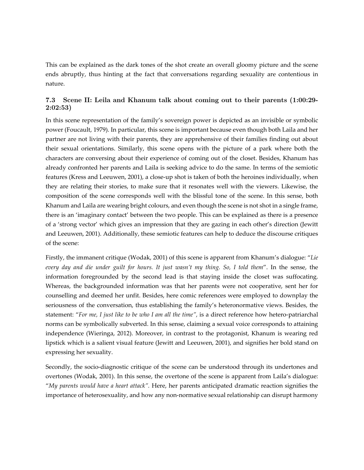This can be explained as the dark tones of the shot create an overall gloomy picture and the scene ends abruptly, thus hinting at the fact that conversations regarding sexuality are contentious in nature.

## 7.3 Scene II: Leila and Khanum talk about coming out to their parents (1:00:29- 2:02:53)

In this scene representation of the family's sovereign power is depicted as an invisible or symbolic power (Foucault, 1979). In particular, this scene is important because even though both Laila and her partner are not living with their parents, they are apprehensive of their families finding out about their sexual orientations. Similarly, this scene opens with the picture of a park where both the characters are conversing about their experience of coming out of the closet. Besides, Khanum has already confronted her parents and Laila is seeking advice to do the same. In terms of the semiotic features (Kress and Leeuwen, 2001), a close-up shot is taken of both the heroines individually, when they are relating their stories, to make sure that it resonates well with the viewers. Likewise, the composition of the scene corresponds well with the blissful tone of the scene. In this sense, both Khanum and Laila are wearing bright colours, and even though the scene is not shot in a single frame, there is an 'imaginary contact' between the two people. This can be explained as there is a presence of a 'strong vector' which gives an impression that they are gazing in each other's direction (Jewitt and Leeuwen, 2001). Additionally, these semiotic features can help to deduce the discourse critiques of the scene:

Firstly, the immanent critique (Wodak, 2001) of this scene is apparent from Khanum's dialogue: "*Lie every day and die under guilt for hours. It just wasn't my thing. So, I told them*". In the sense, the information foregrounded by the second lead is that staying inside the closet was suffocating. Whereas, the backgrounded information was that her parents were not cooperative, sent her for counselling and deemed her unfit. Besides, here comic references were employed to downplay the seriousness of the conversation, thus establishing the family's heteronormative views. Besides, the statement: "*For me, I just like to be who I am all the time",* is a direct reference how hetero-patriarchal norms can be symbolically subverted. In this sense, claiming a sexual voice corresponds to attaining independence (Wieringa, 2012). Moreover, in contrast to the protagonist, Khanum is wearing red lipstick which is a salient visual feature (Jewitt and Leeuwen, 2001), and signifies her bold stand on expressing her sexuality.

Secondly, the socio-diagnostic critique of the scene can be understood through its undertones and overtones (Wodak, 2001). In this sense, the overtone of the scene is apparent from Laila's dialogue: "*My parents would have a heart attack".* Here, her parents anticipated dramatic reaction signifies the importance of heterosexuality, and how any non-normative sexual relationship can disrupt harmony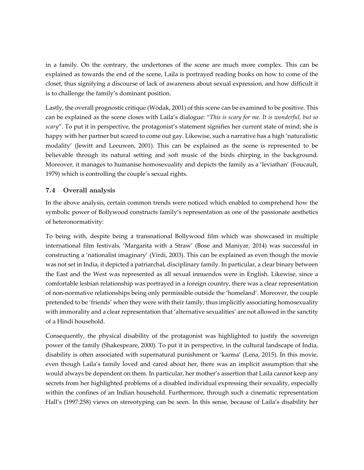in a family. On the contrary, the undertones of the scene are much more complex. This can be explained as towards the end of the scene, Laila is portrayed reading books on how to come of the closet, thus signifying a discourse of lack of awareness about sexual expression, and how difficult it is to challenge the family's dominant position.

Lastly, the overall prognostic critique (Wodak, 2001) of this scene can be examined to be positive. This can be explained as the scene closes with Laila's dialogue: "*This is scary for me. It is wonderful, but so scary*". To put it in perspective, the protagonist's statement signifies her current state of mind; she is happy with her partner but scared to come out gay. Likewise, such a narrative has a high 'naturalistic modality' (Jewitt and Leeuwen, 2001). This can be explained as the scene is represented to be believable through its natural setting and soft music of the birds chirping in the background. Moreover, it manages to humanise homosexuality and depicts the family as a 'leviathan' (Foucault, 1979) which is controlling the couple's sexual rights.

## 7.4 Overall analysis

In the above analysis, certain common trends were noticed which enabled to comprehend how the symbolic power of Bollywood constructs family's representation as one of the passionate aesthetics of heteronormativity:

To being with, despite being a transnational Bollywood film which was showcased in multiple international film festivals, 'Margarita with a Straw' (Bose and Maniyar, 2014) was successful in constructing a 'nationalist imaginary' (Virdi, 2003). This can be explained as even though the movie was not set in India, it depicted a patriarchal, disciplinary family. In particular, a clear binary between the East and the West was represented as all sexual innuendos were in English. Likewise, since a comfortable lesbian relationship was portrayed in a foreign country, there was a clear representation of non-normative relationships being only permissible outside the 'homeland'. Moreover, the couple pretended to be 'friends' when they were with their family, thus implicitly associating homosexuality with immorality and a clear representation that 'alternative sexualities' are not allowed in the sanctity of a Hindi household.

Consequently, the physical disability of the protagonist was highlighted to justify the sovereign power of the family (Shakespeare, 2000). To put it in perspective, in the cultural landscape of India, disability is often associated with supernatural punishment or 'karma' (Lena, 2015). In this movie, even though Laila's family loved and cared about her, there was an implicit assumption that she would always be dependent on them. In particular, her mother's assertion that Laila cannot keep any secrets from her highlighted problems of a disabled individual expressing their sexuality, especially within the confines of an Indian household. Furthermore, through such a cinematic representation Hall's (1997:258) views on stereotyping can be seen. In this sense, because of Laila's disability her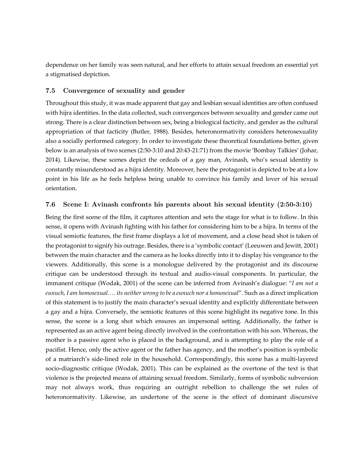dependence on her family was seen natural, and her efforts to attain sexual freedom an essential yet a stigmatised depiction.

### 7.5 Convergence of sexuality and gender

Throughout this study, it was made apparent that gay and lesbian sexual identities are often confused with hijra identities. In the data collected, such convergences between sexuality and gender came out strong. There is a clear distinction between sex, being a biological facticity, and gender as the cultural appropriation of that facticity (Butler, 1988). Besides, heteronormativity considers heterosexuality also a socially performed category. In order to investigate these theoretical foundations better, given below is an analysis of two scenes (2:50-3:10 and 20:43-21:71) from the movie 'Bombay Talkies' (Johar, 2014). Likewise, these scenes depict the ordeals of a gay man, Avinash, who's sexual identity is constantly misunderstood as a hijra identity. Moreover, here the protagonist is depicted to be at a low point in his life as he feels helpless being unable to convince his family and lover of his sexual orientation.

### 7.6 Scene I: Avinash confronts his parents about his sexual identity (2:50-3:10)

Being the first scene of the film, it captures attention and sets the stage for what is to follow. In this sense, it opens with Avinash fighting with his father for considering him to be a hijra. In terms of the visual semiotic features, the first frame displays a lot of movement, and a close head shot is taken of the protagonist to signify his outrage. Besides, there is a 'symbolic contact' (Leeuwen and Jewitt, 2001) between the main character and the camera as he looks directly into it to display his vengeance to the viewers. Additionally, this scene is a monologue delivered by the protagonist and its discourse critique can be understood through its textual and audio-visual components. In particular, the immanent critique (Wodak, 2001) of the scene can be inferred from Avinash's dialogue: "*I am not a eunuch, I am homosexual…. its neither wrong to be a eunuch nor a homosexual*". Such as a direct implication of this statement is to justify the main character's sexual identity and explicitly differentiate between a gay and a hijra. Conversely, the semiotic features of this scene highlight its negative tone. In this sense, the scene is a long shot which ensures an impersonal setting. Additionally, the father is represented as an active agent being directly involved in the confrontation with his son. Whereas, the mother is a passive agent who is placed in the background, and is attempting to play the role of a pacifist. Hence, only the active agent or the father has agency, and the mother's position is symbolic of a matriarch's side-lined role in the household. Correspondingly, this scene has a multi-layered socio-diagnostic critique (Wodak, 2001). This can be explained as the overtone of the text is that violence is the projected means of attaining sexual freedom. Similarly, forms of symbolic subversion may not always work, thus requiring an outright rebellion to challenge the set rules of heteronormativity. Likewise, an undertone of the scene is the effect of dominant discursive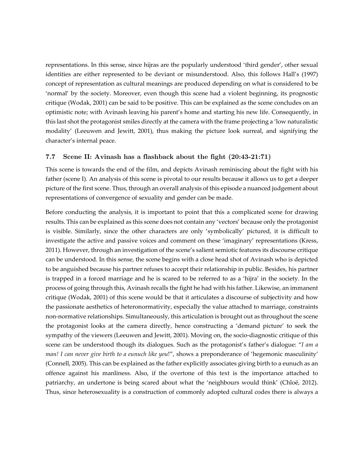representations. In this sense, since hijras are the popularly understood 'third gender', other sexual identities are either represented to be deviant or misunderstood. Also, this follows Hall's (1997) concept of representation as cultural meanings are produced depending on what is considered to be 'normal' by the society. Moreover, even though this scene had a violent beginning, its prognostic critique (Wodak, 2001) can be said to be positive. This can be explained as the scene concludes on an optimistic note; with Avinash leaving his parent's home and starting his new life. Consequently, in this last shot the protagonist smiles directly at the camera with the frame projecting a 'low naturalistic modality' (Leeuwen and Jewitt, 2001), thus making the picture look surreal, and signifying the character's internal peace.

#### 7.7 Scene II: Avinash has a flashback about the fight (20:43-21:71)

This scene is towards the end of the film, and depicts Avinash reminiscing about the fight with his father (scene I). An analysis of this scene is pivotal to our results because it allows us to get a deeper picture of the first scene. Thus, through an overall analysis of this episode a nuanced judgement about representations of convergence of sexuality and gender can be made.

Before conducting the analysis, it is important to point that this a complicated scene for drawing results. This can be explained as this scene does not contain any 'vectors' because only the protagonist is visible. Similarly, since the other characters are only 'symbolically' pictured, it is difficult to investigate the active and passive voices and comment on these 'imaginary' representations (Kress, 2011). However, through an investigation of the scene's salient semiotic features its discourse critique can be understood. In this sense, the scene begins with a close head shot of Avinash who is depicted to be anguished because his partner refuses to accept their relationship in public. Besides, his partner is trapped in a forced marriage and he is scared to be referred to as a 'hijra' in the society. In the process of going through this, Avinash recalls the fight he had with his father. Likewise, an immanent critique (Wodak, 2001) of this scene would be that it articulates a discourse of subjectivity and how the passionate aesthetics of heteronormativity, especially the value attached to marriage, constraints non-normative relationships. Simultaneously, this articulation is brought out as throughout the scene the protagonist looks at the camera directly, hence constructing a 'demand picture' to seek the sympathy of the viewers (Leeuwen and Jewitt, 2001). Moving on, the socio-diagnostic critique of this scene can be understood though its dialogues. Such as the protagonist's father's dialogue: "*I am a man! I can never give birth to a eunuch like you*!", shows a preponderance of 'hegemonic masculinity' (Connell, 2005). This can be explained as the father explicitly associates giving birth to a eunuch as an offence against his manliness. Also, if the overtone of this text is the importance attached to patriarchy, an undertone is being scared about what the 'neighbours would think' (Chloë, 2012). Thus, since heterosexuality is a construction of commonly adopted cultural codes there is always a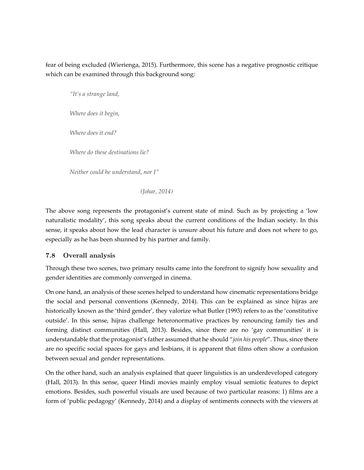fear of being excluded (Wierienga, 2015). Furthermore, this scene has a negative prognostic critique which can be examined through this background song:

*"It's a strange land, Where does it begin, Where does it end? Where do these destinations lie? Neither could he understand, nor I"* 

 *(Johar, 2014)* 

The above song represents the protagonist's current state of mind. Such as by projecting a 'low naturalistic modality', this song speaks about the current conditions of the Indian society. In this sense, it speaks about how the lead character is unsure about his future and does not where to go, especially as he has been shunned by his partner and family.

## 7.8 Overall analysis

Through these two scenes, two primary results came into the forefront to signify how sexuality and gender identities are commonly converged in cinema.

On one hand, an analysis of these scenes helped to understand how cinematic representations bridge the social and personal conventions (Kennedy, 2014). This can be explained as since hijras are historically known as the 'third gender', they valorize what Butler (1993) refers to as the 'constitutive outside'. In this sense, hijras challenge heteronormative practices by renouncing family ties and forming distinct communities (Hall, 2013). Besides, since there are no 'gay communities' it is understandable that the protagonist's father assumed that he should "*join his people*". Thus, since there are no specific social spaces for gays and lesbians, it is apparent that films often show a confusion between sexual and gender representations.

On the other hand, such an analysis explained that queer linguistics is an underdeveloped category (Hall, 2013). In this sense, queer Hindi movies mainly employ visual semiotic features to depict emotions. Besides, such powerful visuals are used because of two particular reasons: 1) films are a form of 'public pedagogy' (Kennedy, 2014) and a display of sentiments connects with the viewers at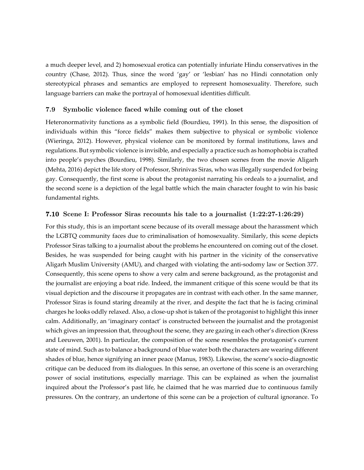a much deeper level, and 2) homosexual erotica can potentially infuriate Hindu conservatives in the country (Chase, 2012). Thus, since the word 'gay' or 'lesbian' has no Hindi connotation only stereotypical phrases and semantics are employed to represent homosexuality. Therefore, such language barriers can make the portrayal of homosexual identities difficult.

#### 7.9 Symbolic violence faced while coming out of the closet

Heteronormativity functions as a symbolic field (Bourdieu, 1991). In this sense, the disposition of individuals within this "force fields" makes them subjective to physical or symbolic violence (Wieringa, 2012). However, physical violence can be monitored by formal institutions, laws and regulations. But symbolic violence is invisible, and especially a practice such as homophobia is crafted into people's psyches (Bourdieu, 1998). Similarly, the two chosen scenes from the movie Aligarh (Mehta, 2016) depict the life story of Professor, Shrinivas Siras, who was illegally suspended for being gay. Consequently, the first scene is about the protagonist narrating his ordeals to a journalist, and the second scene is a depiction of the legal battle which the main character fought to win his basic fundamental rights.

#### 7.10 Scene I: Professor Siras recounts his tale to a journalist (1:22:27-1:26:29)

For this study, this is an important scene because of its overall message about the harassment which the LGBTQ community faces due to criminalisation of homosexuality. Similarly, this scene depicts Professor Siras talking to a journalist about the problems he encountered on coming out of the closet. Besides, he was suspended for being caught with his partner in the vicinity of the conservative Aligarh Muslim University (AMU), and charged with violating the anti-sodomy law or Section 377. Consequently, this scene opens to show a very calm and serene background, as the protagonist and the journalist are enjoying a boat ride. Indeed, the immanent critique of this scene would be that its visual depiction and the discourse it propagates are in contrast with each other. In the same manner, Professor Siras is found staring dreamily at the river, and despite the fact that he is facing criminal charges he looks oddly relaxed. Also, a close-up shot is taken of the protagonist to highlight this inner calm. Additionally, an 'imaginary contact' is constructed between the journalist and the protagonist which gives an impression that, throughout the scene, they are gazing in each other's direction (Kress and Leeuwen, 2001). In particular, the composition of the scene resembles the protagonist's current state of mind. Such as to balance a background of blue water both the characters are wearing different shades of blue, hence signifying an inner peace (Manus, 1983). Likewise, the scene's socio-diagnostic critique can be deduced from its dialogues. In this sense, an overtone of this scene is an overarching power of social institutions, especially marriage. This can be explained as when the journalist inquired about the Professor's past life, he claimed that he was married due to continuous family pressures. On the contrary, an undertone of this scene can be a projection of cultural ignorance. To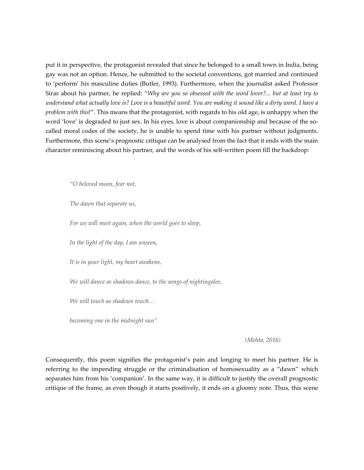put it in perspective, the protagonist revealed that since he belonged to a small town in India, being gay was not an option. Hence, he submitted to the societal conventions, got married and continued to 'perform' his masculine duties (Butler, 1993). Furthermore, when the journalist asked Professor Siras about his partner, he replied: "*Why are you so obsessed with the word lover?... but at least try to understand what actually love is? Love is a beautiful word. You are making it sound like a dirty word. I have a problem with this*!". This means that the protagonist, with regards to his old age, is unhappy when the word 'love' is degraded to just sex. In his eyes, love is about companionship and because of the socalled moral codes of the society, he is unable to spend time with his partner without judgments. Furthermore, this scene's prognostic critique can be analysed from the fact that it ends with the main character reminiscing about his partner, and the words of his self-written poem fill the backdrop:

*"O beloved moon, fear not,* 

*The dawn that separate us,* 

*For we will meet again, when the world goes to sleep,* 

*In the light of the day, I am unseen,* 

*It is in your light, my heart awakens,* 

*We will dance as shadows dance, to the songs of nightingales,* 

*We will touch as shadows touch…* 

*becoming one in the midnight sun"* 

 *(Mehta, 2016)*

Consequently, this poem signifies the protagonist's pain and longing to meet his partner. He is referring to the impending struggle or the criminalisation of homosexuality as a "dawn" which separates him from his 'companion'. In the same way, it is difficult to justify the overall prognostic critique of the frame, as even though it starts positively, it ends on a gloomy note. Thus, this scene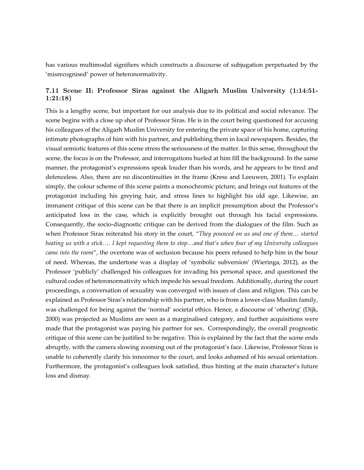has various multimodal signifiers which constructs a discourse of subjugation perpetuated by the 'misrecognised' power of heteronormativity.

## 7.11 Scene II: Professor Siras against the Aligarh Muslim University (1:14:51- 1:21:18)

This is a lengthy scene, but important for our analysis due to its political and social relevance. The scene begins with a close up shot of Professor Siras. He is in the court being questioned for accusing his colleagues of the Aligarh Muslim University for entering the private space of his home, capturing intimate photographs of him with his partner, and publishing them in local newspapers. Besides, the visual semiotic features of this scene stress the seriousness of the matter. In this sense, throughout the scene, the focus is on the Professor, and interrogations hurled at him fill the background. In the same manner, the protagonist's expressions speak louder than his words, and he appears to be tired and defenceless. Also, there are no discontinuities in the frame (Kress and Leeuwen, 2001). To explain simply, the colour scheme of this scene paints a monochromic picture, and brings out features of the protagonist including his greying hair, and stress lines to highlight his old age. Likewise, an immanent critique of this scene can be that there is an implicit presumption about the Professor's anticipated loss in the case, which is explicitly brought out through his facial expressions. Consequently, the socio-diagnostic critique can be derived from the dialogues of the film. Such as when Professor Siras reiterated his story in the court, "*They pounced on us and one of them… started beating us with a stick…. I kept requesting them to stop…and that's when four of my University colleagues came into the room*", the overtone was of seclusion because his peers refused to help him in the hour of need. Whereas, the undertone was a display of 'symbolic subversion' (Wieringa, 2012), as the Professor 'publicly' challenged his colleagues for invading his personal space, and questioned the cultural codes of heteronormativity which impede his sexual freedom. Additionally, during the court proceedings, a conversation of sexuality was converged with issues of class and religion. This can be explained as Professor Siras's relationship with his partner, who is from a lower-class Muslim family, was challenged for being against the 'normal' societal ethics. Hence, a discourse of 'othering' (Dijk, 2000) was projected as Muslims are seen as a marginalised category, and further acquisitions were made that the protagonist was paying his partner for sex. Correspondingly, the overall prognostic critique of this scene can be justified to be negative. This is explained by the fact that the scene ends abruptly, with the camera slowing zooming out of the protagonist's face. Likewise, Professor Siras is unable to coherently clarify his innocence to the court, and looks ashamed of his sexual orientation. Furthermore, the protagonist's colleagues look satisfied, thus hinting at the main character's future loss and dismay.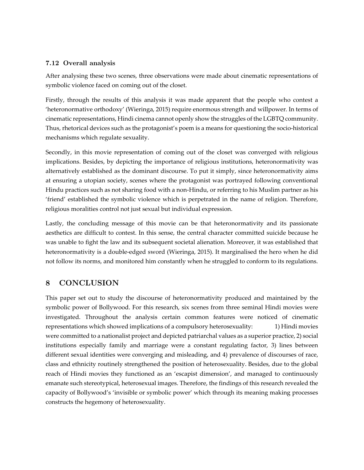### 7.12 Overall analysis

After analysing these two scenes, three observations were made about cinematic representations of symbolic violence faced on coming out of the closet.

Firstly, through the results of this analysis it was made apparent that the people who contest a 'heteronormative orthodoxy' (Wieringa, 2015) require enormous strength and willpower. In terms of cinematic representations, Hindi cinema cannot openly show the struggles of the LGBTQ community. Thus, rhetorical devices such as the protagonist's poem is a means for questioning the socio-historical mechanisms which regulate sexuality.

Secondly, in this movie representation of coming out of the closet was converged with religious implications. Besides, by depicting the importance of religious institutions, heteronormativity was alternatively established as the dominant discourse. To put it simply, since heteronormativity aims at ensuring a utopian society, scenes where the protagonist was portrayed following conventional Hindu practices such as not sharing food with a non-Hindu, or referring to his Muslim partner as his 'friend' established the symbolic violence which is perpetrated in the name of religion. Therefore, religious moralities control not just sexual but individual expression.

Lastly, the concluding message of this movie can be that heteronormativity and its passionate aesthetics are difficult to contest. In this sense, the central character committed suicide because he was unable to fight the law and its subsequent societal alienation. Moreover, it was established that heteronormativity is a double-edged sword (Wieringa, 2015). It marginalised the hero when he did not follow its norms, and monitored him constantly when he struggled to conform to its regulations.

# 8 CONCLUSION

This paper set out to study the discourse of heteronormativity produced and maintained by the symbolic power of Bollywood. For this research, six scenes from three seminal Hindi movies were investigated. Throughout the analysis certain common features were noticed of cinematic representations which showed implications of a compulsory heterosexuality: 1) Hindi movies were committed to a nationalist project and depicted patriarchal values as a superior practice, 2) social institutions especially family and marriage were a constant regulating factor, 3) lines between different sexual identities were converging and misleading, and 4) prevalence of discourses of race, class and ethnicity routinely strengthened the position of heterosexuality. Besides, due to the global reach of Hindi movies they functioned as an 'escapist dimension', and managed to continuously emanate such stereotypical, heterosexual images. Therefore, the findings of this research revealed the capacity of Bollywood's 'invisible or symbolic power' which through its meaning making processes constructs the hegemony of heterosexuality.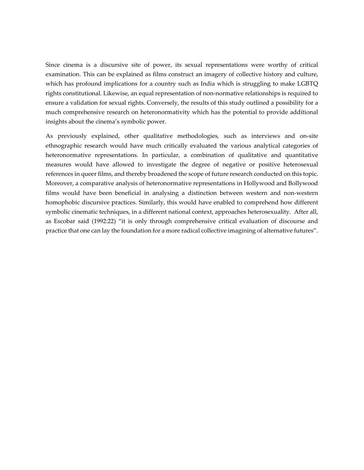Since cinema is a discursive site of power, its sexual representations were worthy of critical examination. This can be explained as films construct an imagery of collective history and culture, which has profound implications for a country such as India which is struggling to make LGBTQ rights constitutional. Likewise, an equal representation of non-normative relationships is required to ensure a validation for sexual rights. Conversely, the results of this study outlined a possibility for a much comprehensive research on heteronormativity which has the potential to provide additional insights about the cinema's symbolic power.

As previously explained, other qualitative methodologies, such as interviews and on-site ethnographic research would have much critically evaluated the various analytical categories of heteronormative representations. In particular, a combination of qualitative and quantitative measures would have allowed to investigate the degree of negative or positive heterosexual references in queer films, and thereby broadened the scope of future research conducted on this topic. Moreover, a comparative analysis of heteronormative representations in Hollywood and Bollywood films would have been beneficial in analysing a distinction between western and non-western homophobic discursive practices. Similarly, this would have enabled to comprehend how different symbolic cinematic techniques, in a different national context, approaches heterosexuality. After all, as Escobar said (1992:22) "it is only through comprehensive critical evaluation of discourse and practice that one can lay the foundation for a more radical collective imagining of alternative futures".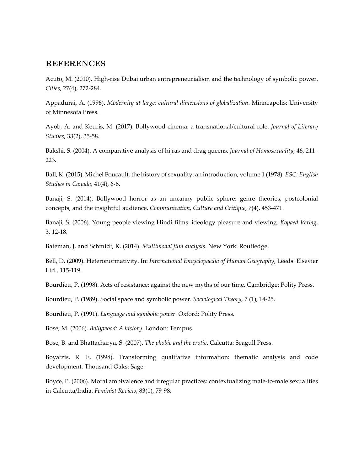## REFERENCES

Acuto, M. (2010). High-rise Dubai urban entrepreneurialism and the technology of symbolic power. *Cities*, 27(4), 272-284.

Appadurai, A. (1996). *Modernity at large: cultural dimensions of globalization*. Minneapolis: University of Minnesota Press.

Ayob, A. and Keuris, M. (2017). Bollywood cinema: a transnational/cultural role. *Journal of Literary Studies*, 33(2), 35-58.

Bakshi, S. (2004). A comparative analysis of hijras and drag queens. *Journal of Homosexuality*, 46, 211– 223.

Ball, K. (2015). Michel Foucault, the history of sexuality: an introduction, volume 1 (1978). *ESC: English Studies in Canada*, 41(4), 6-6.

Banaji, S. (2014). Bollywood horror as an uncanny public sphere: genre theories, postcolonial concepts, and the insightful audience. *Communication, Culture and Critique, 7*(4), 453-471.

Banaji, S. (2006). Young people viewing Hindi films: ideology pleasure and viewing. *Kopaed Verlag*, 3, 12-18.

Bateman, J. and Schmidt, K. (2014). *Multimodal film analysis*. New York: Routledge.

Bell, D. (2009). Heteronormativity. In: *International Encyclopaedia of Human Geography*, Leeds: Elsevier Ltd., 115-119.

Bourdieu, P. (1998). Acts of resistance: against the new myths of our time. Cambridge: Polity Press.

Bourdieu, P. (1989). Social space and symbolic power. *Sociological Theory, 7* (1), 14-25.

Bourdieu, P. (1991). *Language and symbolic power*. Oxford: Polity Press.

Bose, M. (2006). *Bollywood: A history*. London: Tempus.

Bose, B. and Bhattacharya, S. (2007). *The phobic and the erotic*. Calcutta: Seagull Press.

Boyatzis, R. E. (1998). Transforming qualitative information: thematic analysis and code development. Thousand Oaks: Sage.

Boyce, P. (2006). Moral ambivalence and irregular practices: contextualizing male-to-male sexualities in Calcutta/India. *Feminist Review*, 83(1), 79-98.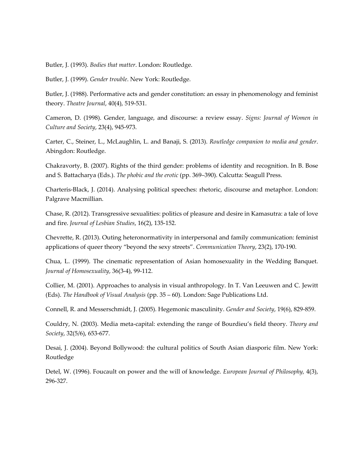Butler, J. (1993). *Bodies that matter*. London: Routledge.

Butler, J. (1999). *Gender trouble*. New York: Routledge.

Butler, J. (1988). Performative acts and gender constitution: an essay in phenomenology and feminist theory. *Theatre Journal*, 40(4), 519-531.

Cameron, D. (1998). Gender, language, and discourse: a review essay. *Signs: Journal of Women in Culture and Society*, 23(4), 945-973.

Carter, C., Steiner, L., McLaughlin, L. and Banaji, S. (2013). *Routledge companion to media and gender*. Abingdon: Routledge.

Chakravorty, B. (2007). Rights of the third gender: problems of identity and recognition. In B. Bose and S. Battacharya (Eds.). *The phobic and the erotic* (pp. 369–390). Calcutta: Seagull Press.

Charteris-Black, J. (2014). Analysing political speeches: rhetoric, discourse and metaphor. London: Palgrave Macmillian.

Chase, R. (2012). Transgressive sexualities: politics of pleasure and desire in Kamasutra: a tale of love and fire. *Journal of Lesbian Studies*, 16(2), 135-152.

Chevrette, R. (2013). Outing heteronormativity in interpersonal and family communication: feminist applications of queer theory "beyond the sexy streets". *Communication Theory*, 23(2), 170-190.

Chua, L. (1999). The cinematic representation of Asian homosexuality in the Wedding Banquet. *Journal of Homosexuality*, 36(3-4), 99-112.

Collier, M. (2001). Approaches to analysis in visual anthropology. In T. Van Leeuwen and C. Jewitt (Eds). *The Handbook of Visual Analysis* (pp. 35 – 60). London: Sage Publications Ltd.

Connell, R. and Messerschmidt, J. (2005). Hegemonic masculinity. *Gender and Society*, 19(6), 829-859.

Couldry, N. (2003). Media meta-capital: extending the range of Bourdieu's field theory. *Theory and Society*, 32(5/6), 653-677.

Desai, J. (2004). Beyond Bollywood: the cultural politics of South Asian diasporic film. New York: Routledge

Detel, W. (1996). Foucault on power and the will of knowledge. *European Journal of Philosophy,* 4(3), 296-327.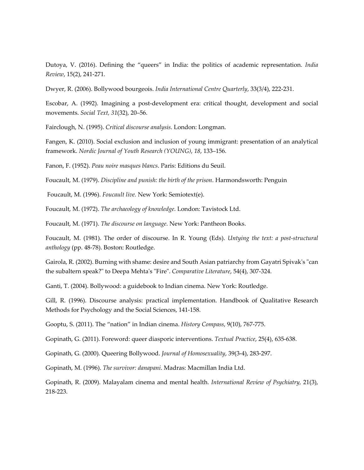Dutoya, V. (2016). Defining the "queers" in India: the politics of academic representation. *India Review*, 15(2), 241-271.

Dwyer, R. (2006). Bollywood bourgeois. *India International Centre Quarterly*, 33(3/4), 222-231.

Escobar, A. (1992). Imagining a post-development era: critical thought, development and social movements. *Social Text, 31*(32), 20–56.

Fairclough, N. (1995). *Critical discourse analysis*. London: Longman.

Fangen, K. (2010). Social exclusion and inclusion of young immigrant: presentation of an analytical framework. *Nordic Journal of Youth Research (YOUNG)*, *18*, 133–156.

Fanon, F. (1952). *Peau noire masques blancs*. Paris: Editions du Seuil.

Foucault, M. (1979). *Discipline and punish: the birth of the prison*. Harmondsworth: Penguin

Foucault, M. (1996). *Foucault live.* New York: Semiotext(e).

Foucault, M. (1972). *The archaeology of knowledge*. London: Tavistock Ltd.

Foucault, M. (1971). *The discourse on language*. New York: Pantheon Books.

Foucault, M. (1981). The order of discourse. In R. Young (Eds). *Untying the text: a post-structural anthology* (pp. 48-78). Boston: Routledge.

Gairola, R. (2002). Burning with shame: desire and South Asian patriarchy from Gayatri Spivak's "can the subaltern speak?" to Deepa Mehta's "Fire". *Comparative Literature*, 54(4), 307-324.

Ganti, T. (2004). Bollywood: a guidebook to Indian cinema. New York: Routledge.

Gill, R. (1996). Discourse analysis: practical implementation. Handbook of Qualitative Research Methods for Psychology and the Social Sciences, 141-158.

Gooptu, S. (2011). The "nation" in Indian cinema. *History Compass*, 9(10), 767-775.

Gopinath, G. (2011). Foreword: queer diasporic interventions. *Textual Practice*, 25(4), 635-638.

Gopinath, G. (2000). Queering Bollywood. *Journal of Homosexuality*, 39(3-4), 283-297.

Gopinath, M. (1996). *The survivor: danapani*. Madras: Macmillan India Ltd.

Gopinath, R. (2009). Malayalam cinema and mental health. *International Review of Psychiatry,* 21(3), 218-223.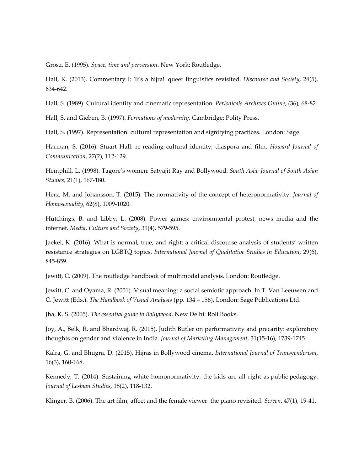Grosz, E. (1995). *Space, time and perversion*. New York: Routledge.

Hall, K. (2013). Commentary I: 'It's a hijra!' queer linguistics revisited. *Discourse and Society*, 24(5), 634-642.

Hall, S. (1989). Cultural identity and cinematic representation. *Periodicals Archives Online*, (36), 68-82.

Hall, S. and Gieben, B. (1997). *Formations of modernity*. Cambridge: Polity Press.

Hall, S. (1997). Representation: cultural representation and signifying practices. London: Sage.

Harman, S. (2016). Stuart Hall: re-reading cultural identity, diaspora and film. *Howard Journal of Communication*, 27(2), 112-129.

Hemphill, L. (1998). Tagore's women: Satyajit Ray and Bollywood. *South Asia: Journal of South Asian Studies,* 21(1), 167-180.

Herz, M. and Johansson, T. (2015). The normativity of the concept of heteronormativity. *Journal of Homosexuality*, 62(8), 1009-1020.

Hutchings, B. and Libby, L. (2008). Power games: environmental protest, news media and the internet. *Media, Culture and Society*, 31(4), 579-595.

Jaekel, K. (2016). What is normal, true, and right: a critical discourse analysis of students' written resistance strategies on LGBTQ topics. *International Journal of Qualitative Studies in Education*, 29(6), 845-859.

Jewitt, C. (2009). The routledge handbook of multimodal analysis. London: Routledge.

Jewitt, C. and Oyama, R. (2001). Visual meaning: a social semiotic approach. In T. Van Leeuwen and C. Jewitt (Eds.). *The Handbook of Visual Analysis* (pp. 134 – 156). London: Sage Publications Ltd.

Jha, K. S. (2005). *The essential guide to Bollywood*. New Delhi: Roli Books.

Joy, A., Belk, R. and Bhardwaj, R. (2015). Judith Butler on performativity and precarity: exploratory thoughts on gender and violence in India. *Journal of Marketing Management*, 31(15-16), 1739-1745.

Kalra, G. and Bhugra, D. (2015). Hijras in Bollywood cinema. *International Journal of Transgenderism*, 16(3), 160-168.

Kennedy, T. (2014). Sustaining white homonormativity: the kids are all right as public pedagogy. *Journal of Lesbian Studies*, 18(2), 118-132.

Klinger, B. (2006). The art film, affect and the female viewer: the piano revisited. *Screen*, 47(1), 19-41.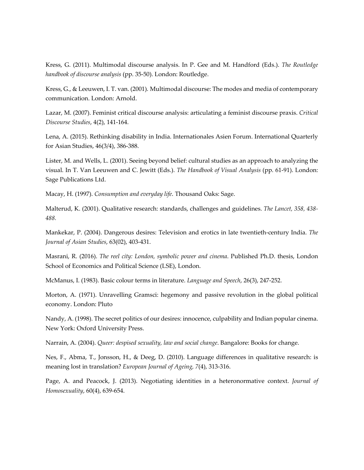Kress, G. (2011). Multimodal discourse analysis. In P. Gee and M. Handford (Eds.). *The Routledge handbook of discourse analysis* (pp. 35-50). London: Routledge.

Kress, G., & Leeuwen, I. T. van. (2001). Multimodal discourse: The modes and media of contemporary communication. London: Arnold.

Lazar, M. (2007). Feminist critical discourse analysis: articulating a feminist discourse praxis. *Critical Discourse Studies*, 4(2), 141-164.

Lena, A. (2015). Rethinking disability in India. Internationales Asien Forum. International Quarterly for Asian Studies, 46(3/4), 386-388.

Lister, M. and Wells, L. (2001). Seeing beyond belief: cultural studies as an approach to analyzing the visual. In T. Van Leeuwen and C. Jewitt (Eds.). *The Handbook of Visual Analysis* (pp. 61-91). London: Sage Publications Ltd.

Macay, H. (1997). *Consumption and everyday life*. Thousand Oaks: Sage.

Malterud, K. (2001). Qualitative research: standards, challenges and guidelines. *The Lancet, 358, 438- 488.* 

Mankekar, P. (2004). Dangerous desires: Television and erotics in late twentieth-century India. *The Journal of Asian Studies*, 63(02), 403-431.

Masrani, R. (2016). *The reel city: London, symbolic power and cinema*. Published Ph.D. thesis, London School of Economics and Political Science (LSE), London.

McManus, I. (1983). Basic colour terms in literature. *Language and Speech*, 26(3), 247-252.

Morton, A. (1971). Unravelling Gramsci: hegemony and passive revolution in the global political economy. London: Pluto

Nandy, A. (1998). The secret politics of our desires: innocence, culpability and Indian popular cinema. New York: Oxford University Press.

Narrain, A. (2004). *Queer: despised sexuality, law and social change*. Bangalore: Books for change.

Nes, F., Abma, T., Jonsson, H., & Deeg, D. (2010). Language differences in qualitative research: is meaning lost in translation? *European Journal of Ageing, 7*(4), 313-316.

Page, A. and Peacock, J. (2013). Negotiating identities in a heteronormative context. *Journal of Homosexuality*, 60(4), 639-654.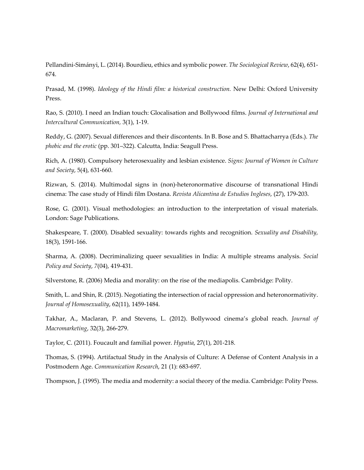Pellandini-Simányi, L. (2014). Bourdieu, ethics and symbolic power. *The Sociological Review*, 62(4), 651- 674.

Prasad, M. (1998). *Ideology of the Hindi film: a historical construction.* New Delhi: Oxford University Press.

Rao, S. (2010). I need an Indian touch: Glocalisation and Bollywood films. *Journal of International and Intercultural Communication,* 3(1), 1-19.

Reddy, G. (2007). Sexual differences and their discontents. In B. Bose and S. Bhattacharrya (Eds.). *The phobic and the erotic* (pp. 301–322). Calcutta, India: Seagull Press.

Rich, A. (1980). Compulsory heterosexuality and lesbian existence. *Signs: Journal of Women in Culture and Society*, 5(4), 631-660.

Rizwan, S. (2014). Multimodal signs in (non)-heteronormative discourse of transnational Hindi cinema: The case study of Hindi film Dostana. *Revista Alicantina de Estudios Ingleses*, (27), 179-203.

Rose, G. (2001). Visual methodologies: an introduction to the interpretation of visual materials. London: Sage Publications.

Shakespeare, T. (2000). Disabled sexuality: towards rights and recognition. *Sexuality and Disability,*  18(3), 1591-166.

Sharma, A. (2008). Decriminalizing queer sexualities in India: A multiple streams analysis. *Social Policy and Society*, *7*(04), 419-431.

Silverstone, R. (2006) Media and morality: on the rise of the mediapolis. Cambridge: Polity.

Smith, L. and Shin, R. (2015). Negotiating the intersection of racial oppression and heteronormativity. *Journal of Homosexuality*, 62(11), 1459-1484.

Takhar, A., Maclaran, P. and Stevens, L. (2012). Bollywood cinema's global reach. *Journal of Macromarketing*, 32(3), 266-279.

Taylor, C. (2011). Foucault and familial power. *Hypatia*, 27(1), 201-218.

Thomas, S. (1994). Artifactual Study in the Analysis of Culture: A Defense of Content Analysis in a Postmodern Age. *Communication Research*, 21 (1): 683-697.

Thompson, J. (1995). The media and modernity: a social theory of the media. Cambridge: Polity Press.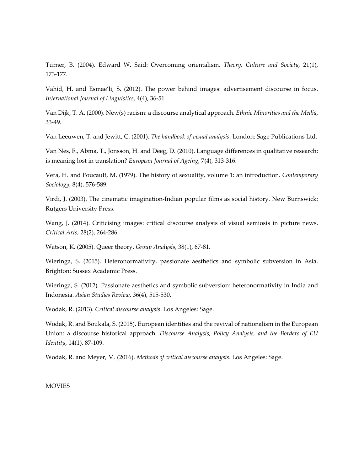Turner, B. (2004). Edward W. Said: Overcoming orientalism. *Theory, Culture and Society*, 21(1), 173-177.

Vahid, H. and Esmae'li, S. (2012). The power behind images: advertisement discourse in focus. *International Journal of Linguistics*, 4(4), 36-51.

Van Dijk, T. A. (2000). New(s) racism: a discourse analytical approach. *Ethnic Minorities and the Media*, 33-49.

Van Leeuwen, T. and Jewitt, C. (2001). *The handbook of visual analysis*. London: Sage Publications Ltd.

Van Nes, F., Abma, T., Jonsson, H. and Deeg, D. (2010). Language differences in qualitative research: is meaning lost in translation? *European Journal of Ageing*, 7(4), 313-316.

Vera, H. and Foucault, M. (1979). The history of sexuality, volume 1: an introduction. *Contemporary Sociology*, 8(4), 576-589.

Virdi, J. (2003). The cinematic imagination-Indian popular films as social history. New Burnswick: Rutgers University Press.

Wang, J. (2014). Criticising images: critical discourse analysis of visual semiosis in picture news. *Critical Arts*, 28(2), 264-286.

Watson, K. (2005). Queer theory. *Group Analysis*, 38(1), 67-81.

Wieringa, S. (2015). Heteronormativity, passionate aesthetics and symbolic subversion in Asia. Brighton: Sussex Academic Press.

Wieringa, S. (2012). Passionate aesthetics and symbolic subversion: heteronormativity in India and Indonesia. *Asian Studies Review*, 36(4), 515-530.

Wodak, R. (2013). *Critical discourse analysis*. Los Angeles: Sage.

Wodak, R. and Boukala, S. (2015). European identities and the revival of nationalism in the European Union: a discourse historical approach. *Discourse Analysis, Policy Analysis, and the Borders of EU Identity*, 14(1), 87-109.

Wodak, R. and Meyer, M. (2016). *Methods of critical discourse analysis*. Los Angeles: Sage.

**MOVIES**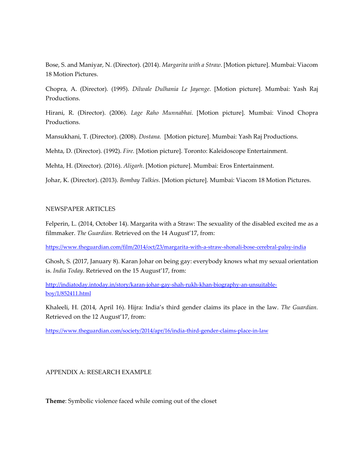Bose, S. and Maniyar, N. (Director). (2014). *Margarita with a Straw*. [Motion picture]. Mumbai: Viacom 18 Motion Pictures.

Chopra, A. (Director). (1995). *Dilwale Dulhania Le Jayenge*. [Motion picture]. Mumbai: Yash Raj Productions.

Hirani, R. (Director). (2006). *Lage Raho Munnabhai*. [Motion picture]. Mumbai: Vinod Chopra Productions.

Mansukhani, T. (Director). (2008). *Dostana.* [Motion picture]. Mumbai: Yash Raj Productions.

Mehta, D. (Director). (1992). *Fire.* [Motion picture]. Toronto: Kaleidoscope Entertainment.

Mehta, H. (Director). (2016). *Aligarh*. [Motion picture]. Mumbai: Eros Entertainment.

Johar, K. (Director). (2013). *Bombay Talkies*. [Motion picture]. Mumbai: Viacom 18 Motion Pictures.

#### NEWSPAPER ARTICLES

Felperin, L. (2014, October 14). Margarita with a Straw: The sexuality of the disabled excited me as a filmmaker. *The Guardian.* Retrieved on the 14 August'17, from:

https://www.theguardian.com/film/2014/oct/23/margarita-with-a-straw-shonali-bose-cerebral-palsy-india

Ghosh, S. (2017, January 8). Karan Johar on being gay: everybody knows what my sexual orientation is. *India Today*. Retrieved on the 15 August'17, from:

http://indiatoday.intoday.in/story/karan-johar-gay-shah-rukh-khan-biography-an-unsuitableboy/1/852411.html

Khaleeli, H. (2014, April 16). Hijra: India's third gender claims its place in the law. *The Guardian.*  Retrieved on the 12 August'17, from:

https://www.theguardian.com/society/2014/apr/16/india-third-gender-claims-place-in-law

### APPENDIX A: RESEARCH EXAMPLE

**Theme**: Symbolic violence faced while coming out of the closet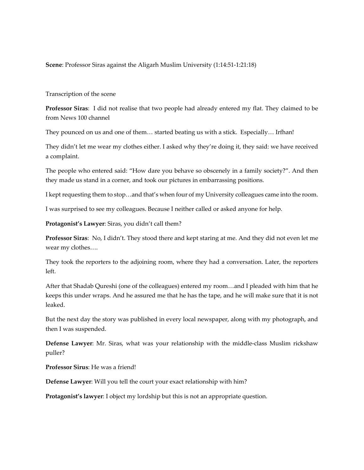**Scene**: Professor Siras against the Aligarh Muslim University (1:14:51-1:21:18)

#### Transcription of the scene

**Professor Siras**: I did not realise that two people had already entered my flat. They claimed to be from News 100 channel

They pounced on us and one of them… started beating us with a stick. Especially… Irfhan!

They didn't let me wear my clothes either. I asked why they're doing it, they said: we have received a complaint.

The people who entered said: "How dare you behave so obscenely in a family society?". And then they made us stand in a corner, and took our pictures in embarrassing positions.

I kept requesting them to stop…and that's when four of my University colleagues came into the room.

I was surprised to see my colleagues. Because I neither called or asked anyone for help.

**Protagonist's Lawyer**: Siras, you didn't call them?

**Professor Siras**: No, I didn't. They stood there and kept staring at me. And they did not even let me wear my clothes….

They took the reporters to the adjoining room, where they had a conversation. Later, the reporters left.

After that Shadab Qureshi (one of the colleagues) entered my room…and I pleaded with him that he keeps this under wraps. And he assured me that he has the tape, and he will make sure that it is not leaked.

But the next day the story was published in every local newspaper, along with my photograph, and then I was suspended.

**Defense Lawyer**: Mr. Siras, what was your relationship with the middle-class Muslim rickshaw puller?

**Professor Sirus**: He was a friend!

**Defense Lawyer**: Will you tell the court your exact relationship with him?

**Protagonist's lawyer**: I object my lordship but this is not an appropriate question.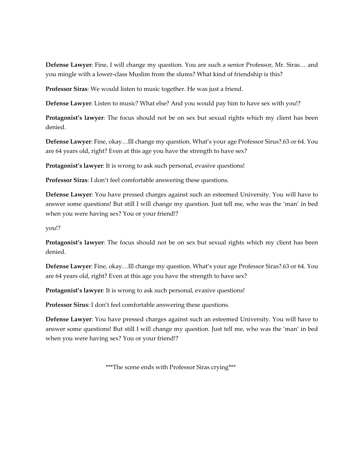**Defense Lawyer**: Fine, I will change my question. You are such a senior Professor, Mr. Siras… and you mingle with a lower-class Muslim from the slums? What kind of friendship is this?

**Professor Siras**: We would listen to music together. He was just a friend.

**Defense Lawyer**: Listen to music? What else? And you would pay him to have sex with you!?

**Protagonist's lawyer**: The focus should not be on sex but sexual rights which my client has been denied.

**Defense Lawyer**: Fine, okay…Ill change my question. What's your age Professor Sirus?.63 or 64. You are 64 years old, right? Even at this age you have the strength to have sex?

**Protagonist's lawyer**: It is wrong to ask such personal, evasive questions!

**Professor Siras**: I don't feel comfortable answering these questions.

**Defense Lawyer**: You have pressed charges against such an esteemed University. You will have to answer some questions! But still I will change my question. Just tell me, who was the 'man' in bed when you were having sex? You or your friend!?

you!?

**Protagonist's lawyer**: The focus should not be on sex but sexual rights which my client has been denied.

**Defense Lawyer**: Fine, okay…Ill change my question. What's your age Professor Siras?.63 or 64. You are 64 years old, right? Even at this age you have the strength to have sex?

**Protagonist's lawyer**: It is wrong to ask such personal, evasive questions!

**Professor Sirus**: I don't feel comfortable answering these questions.

**Defense Lawyer**: You have pressed charges against such an esteemed University. You will have to answer some questions! But still I will change my question. Just tell me, who was the 'man' in bed when you were having sex? You or your friend!?

\*\*\*The scene ends with Professor Siras crying\*\*\*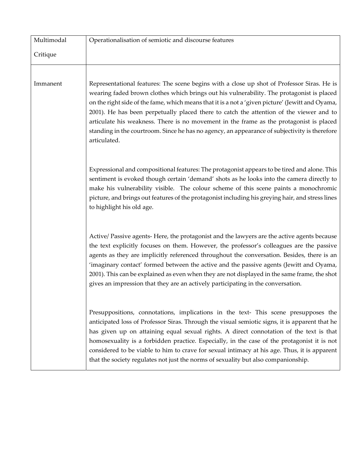| Multimodal | Operationalisation of semiotic and discourse features                                                                                                                                                                                                                                                                                                                                                                                                                                                                                                                                              |  |
|------------|----------------------------------------------------------------------------------------------------------------------------------------------------------------------------------------------------------------------------------------------------------------------------------------------------------------------------------------------------------------------------------------------------------------------------------------------------------------------------------------------------------------------------------------------------------------------------------------------------|--|
| Critique   |                                                                                                                                                                                                                                                                                                                                                                                                                                                                                                                                                                                                    |  |
|            |                                                                                                                                                                                                                                                                                                                                                                                                                                                                                                                                                                                                    |  |
| Immanent   | Representational features: The scene begins with a close up shot of Professor Siras. He is<br>wearing faded brown clothes which brings out his vulnerability. The protagonist is placed<br>on the right side of the fame, which means that it is a not a 'given picture' (Jewitt and Oyama,<br>2001). He has been perpetually placed there to catch the attention of the viewer and to<br>articulate his weakness. There is no movement in the frame as the protagonist is placed<br>standing in the courtroom. Since he has no agency, an appearance of subjectivity is therefore<br>articulated. |  |
|            | Expressional and compositional features: The protagonist appears to be tired and alone. This<br>sentiment is evoked though certain 'demand' shots as he looks into the camera directly to<br>make his vulnerability visible. The colour scheme of this scene paints a monochromic<br>picture, and brings out features of the protagonist including his greying hair, and stress lines<br>to highlight his old age.                                                                                                                                                                                 |  |
|            | Active/ Passive agents- Here, the protagonist and the lawyers are the active agents because<br>the text explicitly focuses on them. However, the professor's colleagues are the passive<br>agents as they are implicitly referenced throughout the conversation. Besides, there is an<br>'imaginary contact' formed between the active and the passive agents (Jewitt and Oyama,<br>2001). This can be explained as even when they are not displayed in the same frame, the shot<br>gives an impression that they are an actively participating in the conversation.                               |  |
|            | Presuppositions, connotations, implications in the text- This scene presupposes the<br>anticipated loss of Professor Siras. Through the visual semiotic signs, it is apparent that he<br>has given up on attaining equal sexual rights. A direct connotation of the text is that<br>homosexuality is a forbidden practice. Especially, in the case of the protagonist it is not<br>considered to be viable to him to crave for sexual intimacy at his age. Thus, it is apparent<br>that the society regulates not just the norms of sexuality but also companionship.                              |  |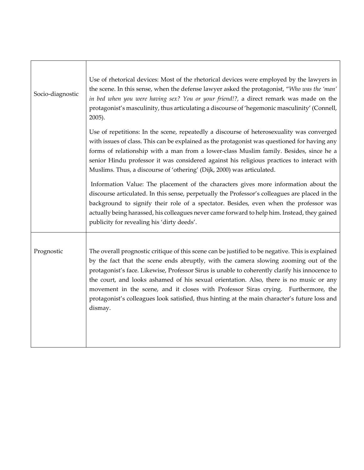| Socio-diagnostic | Use of rhetorical devices: Most of the rhetorical devices were employed by the lawyers in<br>the scene. In this sense, when the defense lawyer asked the protagonist, "Who was the 'man'<br>in bed when you were having sex? You or your friend!?, a direct remark was made on the<br>protagonist's masculinity, thus articulating a discourse of 'hegemonic masculinity' (Connell,<br>2005).                                                                                                                                                                                          |
|------------------|----------------------------------------------------------------------------------------------------------------------------------------------------------------------------------------------------------------------------------------------------------------------------------------------------------------------------------------------------------------------------------------------------------------------------------------------------------------------------------------------------------------------------------------------------------------------------------------|
|                  | Use of repetitions: In the scene, repeatedly a discourse of heterosexuality was converged<br>with issues of class. This can be explained as the protagonist was questioned for having any<br>forms of relationship with a man from a lower-class Muslim family. Besides, since he a<br>senior Hindu professor it was considered against his religious practices to interact with<br>Muslims. Thus, a discourse of 'othering' (Dijk, 2000) was articulated.                                                                                                                             |
|                  | Information Value: The placement of the characters gives more information about the<br>discourse articulated. In this sense, perpetually the Professor's colleagues are placed in the<br>background to signify their role of a spectator. Besides, even when the professor was<br>actually being harassed, his colleagues never came forward to help him. Instead, they gained<br>publicity for revealing his 'dirty deeds'.                                                                                                                                                           |
| Prognostic       | The overall prognostic critique of this scene can be justified to be negative. This is explained<br>by the fact that the scene ends abruptly, with the camera slowing zooming out of the<br>protagonist's face. Likewise, Professor Sirus is unable to coherently clarify his innocence to<br>the court, and looks ashamed of his sexual orientation. Also, there is no music or any<br>movement in the scene, and it closes with Professor Siras crying. Furthermore, the<br>protagonist's colleagues look satisfied, thus hinting at the main character's future loss and<br>dismay. |